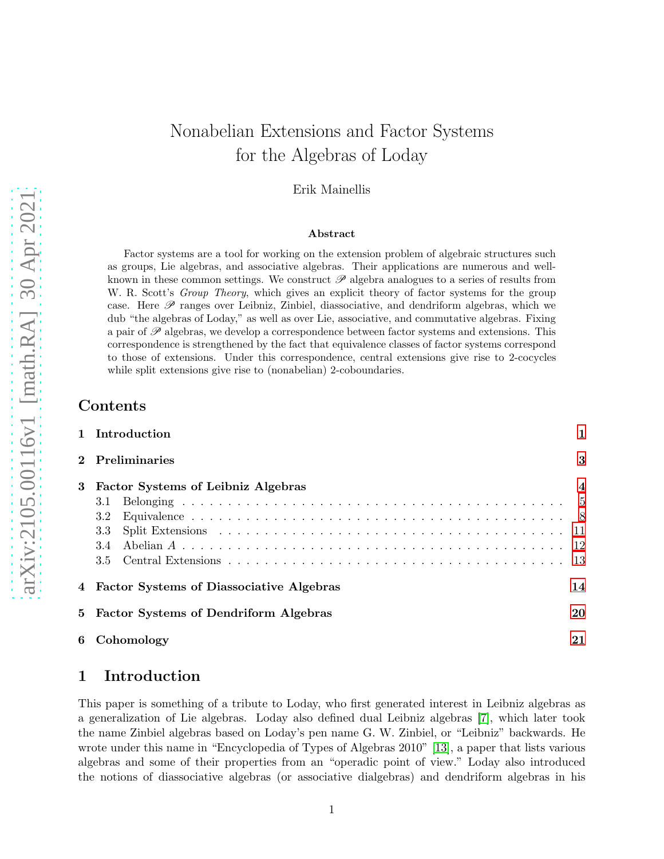# Nonabelian Extensions and Factor Systems for the Algebras of Loday

### Erik Mainellis

#### Abstract

Factor systems are a tool for working on the extension problem of algebraic structures such as groups, Lie algebras, and associative algebras. Their applications are numerous and wellknown in these common settings. We construct  $\mathscr P$  algebra analogues to a series of results from W. R. Scott's *Group Theory*, which gives an explicit theory of factor systems for the group case. Here  $\mathscr P$  ranges over Leibniz, Zinbiel, diassociative, and dendriform algebras, which we dub "the algebras of Loday," as well as over Lie, associative, and commutative algebras. Fixing a pair of  $\mathscr P$  algebras, we develop a correspondence between factor systems and extensions. This correspondence is strengthened by the fact that equivalence classes of factor systems correspond to those of extensions. Under this correspondence, central extensions give rise to 2-cocycles while split extensions give rise to (nonabelian) 2-coboundaries.

### **Contents**

|   | 1 Introduction                                   |  |  |  |  |
|---|--------------------------------------------------|--|--|--|--|
|   | 2 Preliminaries                                  |  |  |  |  |
| 3 | <b>Factor Systems of Leibniz Algebras</b>        |  |  |  |  |
|   | 3.1                                              |  |  |  |  |
|   | 3.2                                              |  |  |  |  |
|   | 3.3                                              |  |  |  |  |
|   | 3.4                                              |  |  |  |  |
|   |                                                  |  |  |  |  |
|   | 14<br>4 Factor Systems of Diassociative Algebras |  |  |  |  |
|   | 5 Factor Systems of Dendriform Algebras          |  |  |  |  |
| 6 | 21<br>Cohomology                                 |  |  |  |  |

# <span id="page-0-0"></span>1 Introduction

This paper is something of a tribute to Loday, who first generated interest in Leibniz algebras as a generalization of Lie algebras. Loday also defined dual Leibniz algebras [7], which later took the name Zinbiel algebras based on Loday's pen name G. W. Zinbiel, or "Leibniz" backwards. He wrote under this name in "Encyclopedia of Types of Algebras 2010" [\[13\]](#page-21-0), a paper that lists various algebras and some of their properties from an "operadic point of view." Loday also introduced the notions of diassociative algebras (or associative dialgebras) and dendriform algebras in his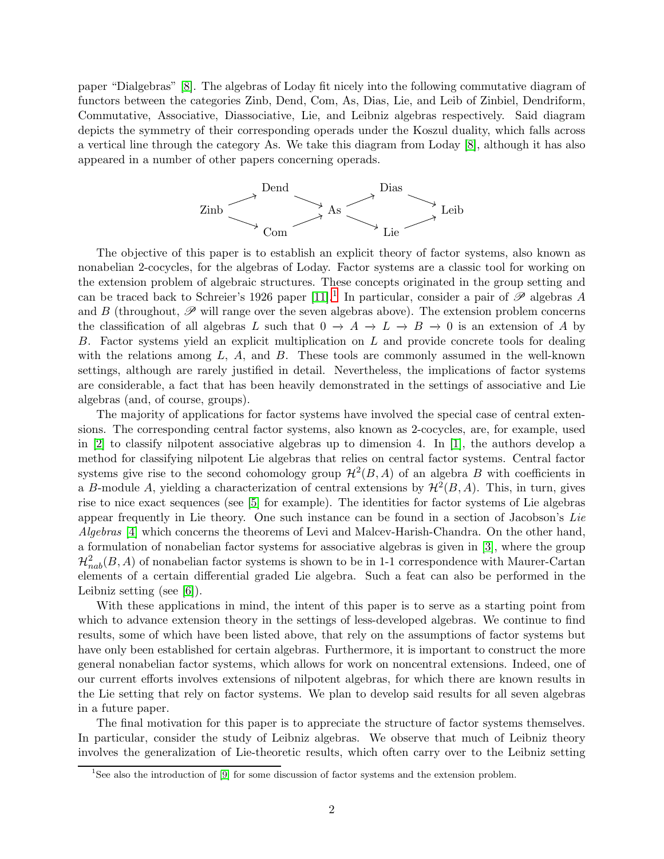paper "Dialgebras" [8]. The algebras of Loday fit nicely into the following commutative diagram of functors between the categories Zinb, Dend, Com, As, Dias, Lie, and Leib of Zinbiel, Dendriform, Commutative, Associative, Diassociative, Lie, and Leibniz algebras respectively. Said diagram depicts the symmetry of their corresponding operads under the Koszul duality, which falls across a vertical line through the category As. We take this diagram from Loday [8], although it has also appeared in a number of other papers concerning operads.



The objective of this paper is to establish an explicit theory of factor systems, also known as nonabelian 2-cocycles, for the algebras of Loday. Factor systems are a classic tool for working on the extension problem of algebraic structures. These concepts originated in the group setting and can be traced back to Schreier's 1926 paper [\[11\]](#page-21-1).<sup>[1](#page-1-0)</sup> In particular, consider a pair of  $\mathscr P$  algebras A and B (throughout,  $\mathscr P$  will range over the seven algebras above). The extension problem concerns the classification of all algebras L such that  $0 \to A \to L \to B \to 0$  is an extension of A by B. Factor systems yield an explicit multiplication on L and provide concrete tools for dealing with the relations among  $L$ ,  $A$ , and  $B$ . These tools are commonly assumed in the well-known settings, although are rarely justified in detail. Nevertheless, the implications of factor systems are considerable, a fact that has been heavily demonstrated in the settings of associative and Lie algebras (and, of course, groups).

The majority of applications for factor systems have involved the special case of central extensions. The corresponding central factor systems, also known as 2-cocycles, are, for example, used in [\[2\]](#page-21-2) to classify nilpotent associative algebras up to dimension 4. In [\[1\]](#page-21-3), the authors develop a method for classifying nilpotent Lie algebras that relies on central factor systems. Central factor systems give rise to the second cohomology group  $\mathcal{H}^2(B, A)$  of an algebra B with coefficients in a B-module A, yielding a characterization of central extensions by  $\mathcal{H}^2(B, A)$ . This, in turn, gives rise to nice exact sequences (see [\[5\]](#page-21-4) for example). The identities for factor systems of Lie algebras appear frequently in Lie theory. One such instance can be found in a section of Jacobson's *Lie Algebras* [\[4\]](#page-21-5) which concerns the theorems of Levi and Malcev-Harish-Chandra. On the other hand, a formulation of nonabelian factor systems for associative algebras is given in [\[3\]](#page-21-6), where the group  $\mathcal{H}_{nab}^2(B,A)$  of nonabelian factor systems is shown to be in 1-1 correspondence with Maurer-Cartan elements of a certain differential graded Lie algebra. Such a feat can also be performed in the Leibniz setting (see [\[6\]](#page-21-7)).

With these applications in mind, the intent of this paper is to serve as a starting point from which to advance extension theory in the settings of less-developed algebras. We continue to find results, some of which have been listed above, that rely on the assumptions of factor systems but have only been established for certain algebras. Furthermore, it is important to construct the more general nonabelian factor systems, which allows for work on noncentral extensions. Indeed, one of our current efforts involves extensions of nilpotent algebras, for which there are known results in the Lie setting that rely on factor systems. We plan to develop said results for all seven algebras in a future paper.

The final motivation for this paper is to appreciate the structure of factor systems themselves. In particular, consider the study of Leibniz algebras. We observe that much of Leibniz theory involves the generalization of Lie-theoretic results, which often carry over to the Leibniz setting

<span id="page-1-0"></span><sup>&</sup>lt;sup>1</sup>See also the introduction of [\[9\]](#page-21-8) for some discussion of factor systems and the extension problem.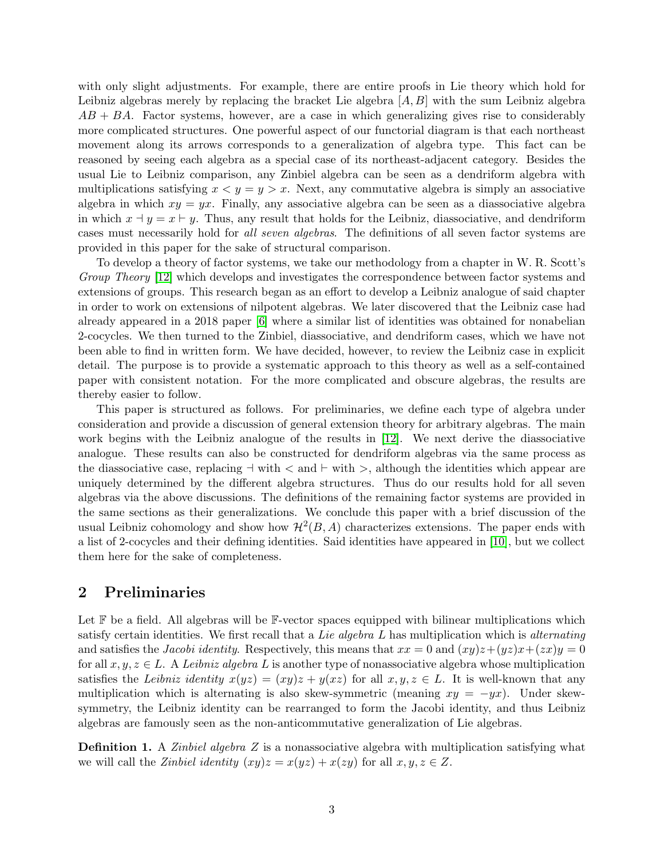with only slight adjustments. For example, there are entire proofs in Lie theory which hold for Leibniz algebras merely by replacing the bracket Lie algebra  $[A, B]$  with the sum Leibniz algebra  $AB + BA$ . Factor systems, however, are a case in which generalizing gives rise to considerably more complicated structures. One powerful aspect of our functorial diagram is that each northeast movement along its arrows corresponds to a generalization of algebra type. This fact can be reasoned by seeing each algebra as a special case of its northeast-adjacent category. Besides the usual Lie to Leibniz comparison, any Zinbiel algebra can be seen as a dendriform algebra with multiplications satisfying  $x \le y = y > x$ . Next, any commutative algebra is simply an associative algebra in which  $xy = yx$ . Finally, any associative algebra can be seen as a diassociative algebra in which  $x \dotplus y = x \dotplus y$ . Thus, any result that holds for the Leibniz, diassociative, and dendriform cases must necessarily hold for *all seven algebras*. The definitions of all seven factor systems are provided in this paper for the sake of structural comparison.

To develop a theory of factor systems, we take our methodology from a chapter in W. R. Scott's *Group Theory* [\[12\]](#page-21-9) which develops and investigates the correspondence between factor systems and extensions of groups. This research began as an effort to develop a Leibniz analogue of said chapter in order to work on extensions of nilpotent algebras. We later discovered that the Leibniz case had already appeared in a 2018 paper [\[6\]](#page-21-7) where a similar list of identities was obtained for nonabelian 2-cocycles. We then turned to the Zinbiel, diassociative, and dendriform cases, which we have not been able to find in written form. We have decided, however, to review the Leibniz case in explicit detail. The purpose is to provide a systematic approach to this theory as well as a self-contained paper with consistent notation. For the more complicated and obscure algebras, the results are thereby easier to follow.

This paper is structured as follows. For preliminaries, we define each type of algebra under consideration and provide a discussion of general extension theory for arbitrary algebras. The main work begins with the Leibniz analogue of the results in [\[12\]](#page-21-9). We next derive the diassociative analogue. These results can also be constructed for dendriform algebras via the same process as the diassociative case, replacing  $\exists$  with  $\leq$  and  $\vdash$  with  $\geq$ , although the identities which appear are uniquely determined by the different algebra structures. Thus do our results hold for all seven algebras via the above discussions. The definitions of the remaining factor systems are provided in the same sections as their generalizations. We conclude this paper with a brief discussion of the usual Leibniz cohomology and show how  $\mathcal{H}^2(B, A)$  characterizes extensions. The paper ends with a list of 2-cocycles and their defining identities. Said identities have appeared in [\[10\]](#page-21-10), but we collect them here for the sake of completeness.

### <span id="page-2-0"></span>2 Preliminaries

Let  $\mathbb F$  be a field. All algebras will be  $\mathbb F$ -vector spaces equipped with bilinear multiplications which satisfy certain identities. We first recall that a *Lie algebra* L has multiplication which is *alternating* and satisfies the *Jacobi identity*. Respectively, this means that  $xx = 0$  and  $(xy)z+(yz)x+(zx)y = 0$ for all  $x, y, z \in L$ . A *Leibniz algebra* L is another type of nonassociative algebra whose multiplication satisfies the *Leibniz identity*  $x(yz) = (xy)z + y(xz)$  for all  $x, y, z \in L$ . It is well-known that any multiplication which is alternating is also skew-symmetric (meaning  $xy = -yx$ ). Under skewsymmetry, the Leibniz identity can be rearranged to form the Jacobi identity, and thus Leibniz algebras are famously seen as the non-anticommutative generalization of Lie algebras.

Definition 1. A *Zinbiel algebra* Z is a nonassociative algebra with multiplication satisfying what we will call the *Zinbiel identity*  $(xy)z = x(yz) + x(zy)$  for all  $x, y, z \in Z$ .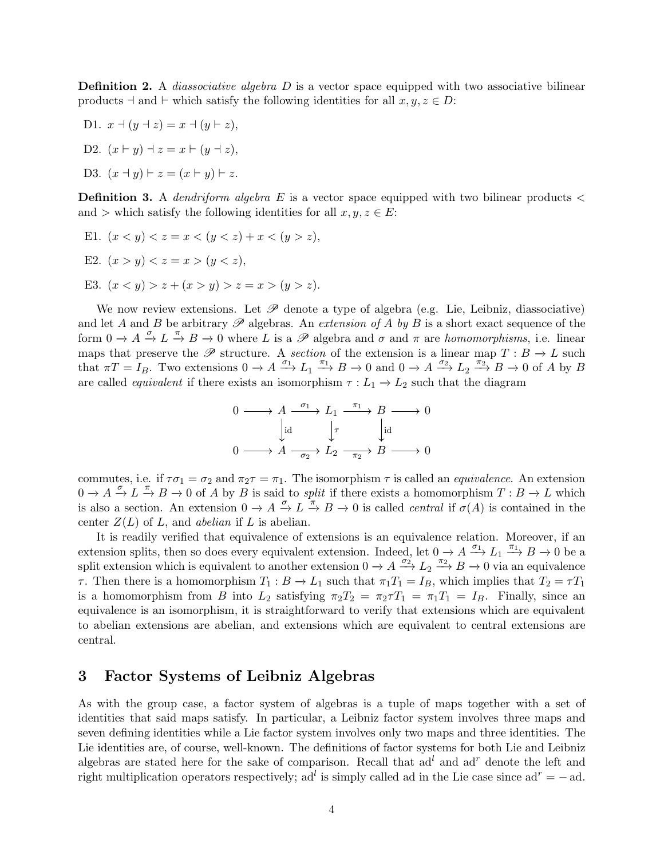**Definition 2.** A *diassociative algebra* D is a vector space equipped with two associative bilinear products  $\exists$  and  $\vdash$  which satisfy the following identities for all  $x, y, z \in D$ :

- D1.  $x \dashv (y \dashv z) = x \dashv (y \vdash z),$
- D2.  $(x \vdash y) \dashv z = x \vdash (y \dashv z)$ ,

D3. 
$$
(x - y) \vdash z = (x \vdash y) \vdash z.
$$

**Definition 3.** A *dendriform algebra*  $E$  is a vector space equipped with two bilinear products  $\lt$ and > which satisfy the following identities for all  $x, y, z \in E$ :

- E1.  $(x < y) < z = x < (y < z) + x < (y > z)$ ,
- E2.  $(x > y) < z = x > (y < z),$
- E3.  $(x < y) > z + (x > y) > z = x > (y > z)$ .

We now review extensions. Let  $\mathscr P$  denote a type of algebra (e.g. Lie, Leibniz, diassociative) and let A and B be arbitrary  $\mathscr P$  algebras. An *extension of* A by B is a short exact sequence of the form  $0 \to A \stackrel{\sigma}{\to} L \stackrel{\pi}{\to} B \to 0$  where L is a  $\mathscr P$  algebra and  $\sigma$  and  $\pi$  are *homomorphisms*, i.e. linear maps that preserve the  $\mathscr P$  structure. A *section* of the extension is a linear map  $T : B \to L$  such that  $\pi T = I_B$ . Two extensions  $0 \to A \xrightarrow{\sigma_1} L_1 \xrightarrow{\pi_1} B \to 0$  and  $0 \to A \xrightarrow{\sigma_2} L_2 \xrightarrow{\pi_2} B \to 0$  of A by B are called *equivalent* if there exists an isomorphism  $\tau : L_1 \to L_2$  such that the diagram

$$
0 \longrightarrow A \xrightarrow{\sigma_1} L_1 \xrightarrow{\pi_1} B \longrightarrow 0
$$
  
\n
$$
\downarrow id \qquad \qquad \downarrow \tau \qquad \qquad \downarrow id
$$
  
\n
$$
0 \longrightarrow A \xrightarrow{\sigma_2} L_2 \xrightarrow{\pi_2} B \longrightarrow 0
$$

commutes, i.e. if  $\tau \sigma_1 = \sigma_2$  and  $\pi_2 \tau = \pi_1$ . The isomorphism  $\tau$  is called an *equivalence*. An extension  $0 \to A \xrightarrow{\sigma} L \xrightarrow{\pi} B \to 0$  of A by B is said to *split* if there exists a homomorphism  $T : B \to L$  which is also a section. An extension  $0 \to A \stackrel{\sigma}{\to} L \stackrel{\pi}{\to} B \to 0$  is called *central* if  $\sigma(A)$  is contained in the center Z(L) of L, and *abelian* if L is abelian.

It is readily verified that equivalence of extensions is an equivalence relation. Moreover, if an extension splits, then so does every equivalent extension. Indeed, let  $0 \to A \xrightarrow{\sigma_1} L_1 \xrightarrow{\pi_1} B \to 0$  be a split extension which is equivalent to another extension  $0 \to A \xrightarrow{\sigma_2} L_2 \xrightarrow{\pi_2} B \to 0$  via an equivalence  $\tau$ . Then there is a homomorphism  $T_1 : B \to L_1$  such that  $\pi_1 T_1 = I_B$ , which implies that  $T_2 = \tau T_1$ is a homomorphism from B into  $L_2$  satisfying  $\pi_2 T_2 = \pi_2 \tau T_1 = \pi_1 T_1 = I_B$ . Finally, since an equivalence is an isomorphism, it is straightforward to verify that extensions which are equivalent to abelian extensions are abelian, and extensions which are equivalent to central extensions are central.

### <span id="page-3-0"></span>3 Factor Systems of Leibniz Algebras

As with the group case, a factor system of algebras is a tuple of maps together with a set of identities that said maps satisfy. In particular, a Leibniz factor system involves three maps and seven defining identities while a Lie factor system involves only two maps and three identities. The Lie identities are, of course, well-known. The definitions of factor systems for both Lie and Leibniz algebras are stated here for the sake of comparison. Recall that  $ad<sup>l</sup>$  and  $ad<sup>r</sup>$  denote the left and right multiplication operators respectively; ad<sup>l</sup> is simply called ad in the Lie case since ad<sup>r</sup> = - ad.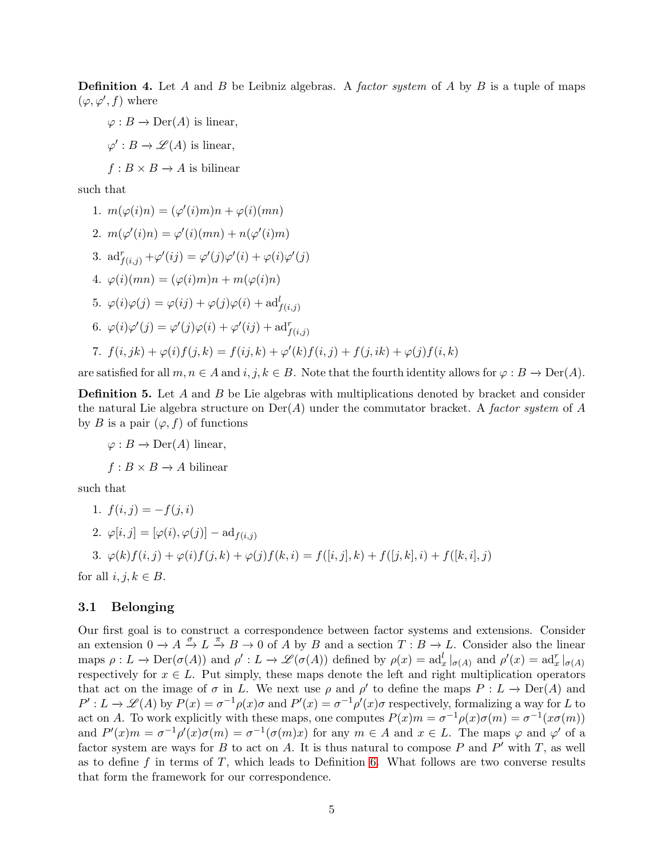**Definition 4.** Let A and B be Leibniz algebras. A *factor system* of A by B is a tuple of maps  $(\varphi, \varphi', f)$  where

 $\varphi : B \to \mathrm{Der}(A)$  is linear,

 $\varphi': B \to \mathscr{L}(A)$  is linear,

 $f : B \times B \to A$  is bilinear

such that

1. 
$$
m(\varphi(i)n) = (\varphi'(i)m)n + \varphi(i)(mn)
$$
  
\n2. 
$$
m(\varphi'(i)n) = \varphi'(i)(mn) + n(\varphi'(i)m)
$$
  
\n3. 
$$
ad_{f(i,j)}^r + \varphi'(ij) = \varphi'(j)\varphi'(i) + \varphi(i)\varphi'(j)
$$
  
\n4. 
$$
\varphi(i)(mn) = (\varphi(i)m)n + m(\varphi(i)n)
$$
  
\n5. 
$$
\varphi(i)\varphi(j) = \varphi(ij) + \varphi(j)\varphi(i) + ad_{f(i,j)}^l
$$
  
\n6. 
$$
\varphi(i)\varphi'(j) = \varphi'(j)\varphi(i) + \varphi'(ij) + ad_{f(i,j)}^r
$$
  
\n7. 
$$
f(i,jk) + \varphi(i)f(j,k) = f(ij,k) + \varphi'(k)f(i,j) + f(j,ik) + \varphi(j)f(i,k)
$$

are satisfied for all  $m, n \in A$  and  $i, j, k \in B$ . Note that the fourth identity allows for  $\varphi : B \to \text{Der}(A)$ .

**Definition 5.** Let A and B be Lie algebras with multiplications denoted by bracket and consider the natural Lie algebra structure on Der(A) under the commutator bracket. A *factor system* of A by B is a pair  $(\varphi, f)$  of functions

 $\varphi : B \to \mathrm{Der}(A)$  linear,

 $f : B \times B \to A$  bilinear

such that

1. 
$$
f(i, j) = -f(j, i)
$$

2. 
$$
\varphi[i,j] = [\varphi(i), \varphi(j)] - \mathrm{ad}_{f(i,j)}
$$

3.  $\varphi(k)f(i, j) + \varphi(i)f(j, k) + \varphi(j)f(k, i) = f([i, j], k) + f([j, k], i) + f([k, i], j)$ 

for all  $i, j, k \in B$ .

### <span id="page-4-0"></span>3.1 Belonging

Our first goal is to construct a correspondence between factor systems and extensions. Consider an extension  $0 \to A \xrightarrow{\sigma} L \xrightarrow{\pi} B \to 0$  of A by B and a section  $T : B \to L$ . Consider also the linear maps  $\rho: L \to \mathrm{Der}(\sigma(A))$  and  $\rho': L \to \mathscr{L}(\sigma(A))$  defined by  $\rho(x) = \mathrm{ad}_x^l|_{\sigma(A)}$  and  $\rho'(x) = \mathrm{ad}_x^r|_{\sigma(A)}$ respectively for  $x \in L$ . Put simply, these maps denote the left and right multiplication operators that act on the image of  $\sigma$  in L. We next use  $\rho$  and  $\rho'$  to define the maps  $P: L \to Der(A)$  and  $P': L \to \mathscr{L}(A)$  by  $P(x) = \sigma^{-1} \rho(x) \sigma$  and  $P'(x) = \sigma^{-1} \rho'(x) \sigma$  respectively, formalizing a way for L to act on A. To work explicitly with these maps, one computes  $P(x)m = \sigma^{-1}\rho(x)\sigma(m) = \sigma^{-1}(x\sigma(m))$ and  $P'(x)m = \sigma^{-1}\rho'(x)\sigma(m) = \sigma^{-1}(\sigma(m)x)$  for any  $m \in A$  and  $x \in L$ . The maps  $\varphi$  and  $\varphi'$  of a factor system are ways for B to act on A. It is thus natural to compose P and P' with T, as well as to define f in terms of  $T$ , which leads to Definition [6.](#page-5-0) What follows are two converse results that form the framework for our correspondence.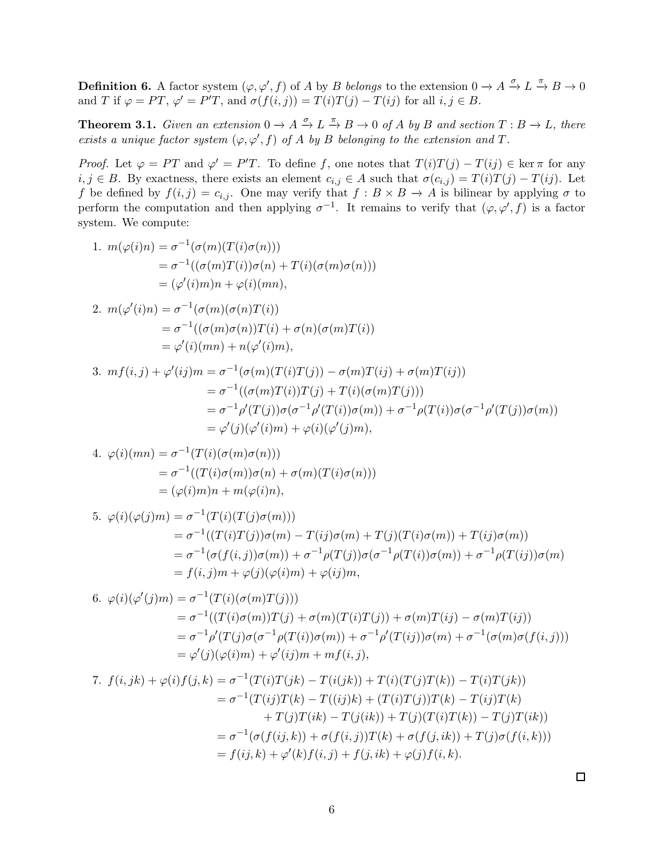<span id="page-5-0"></span>**Definition 6.** A factor system  $(\varphi, \varphi', f)$  of A by B *belongs* to the extension  $0 \to A \xrightarrow{\sigma} L \xrightarrow{\pi} B \to 0$ and T if  $\varphi = PT$ ,  $\varphi' = P'T$ , and  $\sigma(f(i,j)) = T(i)T(j) - T(ij)$  for all  $i, j \in B$ .

<span id="page-5-1"></span>**Theorem 3.1.** *Given an extension*  $0 \to A \xrightarrow{\sigma} L \xrightarrow{\pi} B \to 0$  *of* A *by* B *and section*  $T : B \to L$ *, there exists a unique factor system*  $(\varphi, \varphi', f)$  *of* A *by* B *belonging to the extension and* T.

*Proof.* Let  $\varphi = PT$  and  $\varphi' = P'T$ . To define f, one notes that  $T(i)T(j) - T(ij) \in \ker \pi$  for any  $i, j \in B$ . By exactness, there exists an element  $c_{i,j} \in A$  such that  $\sigma(c_{i,j}) = T(i)T(j) - T(ij)$ . Let f be defined by  $f(i, j) = c_{i,j}$ . One may verify that  $f : B \times B \to A$  is bilinear by applying  $\sigma$  to perform the computation and then applying  $\sigma^{-1}$ . It remains to verify that  $(\varphi, \varphi', f)$  is a factor system. We compute:

1. 
$$
m(\varphi(i)n) = \sigma^{-1}(\sigma(m)T(i)\sigma(n)))
$$
  
\t
$$
= \sigma^{-1}((\sigma(m)T(i))\sigma(n) + T(i)(\sigma(m)\sigma(n)))
$$
  
\t
$$
= (\varphi'(i)m) + \varphi(i)(mn),
$$
  
\t
$$
= \sigma^{-1}((\sigma(m)(\sigma(n)T(i)))
$$
  
\t
$$
= \sigma^{-1}((\sigma(m)(\sigma(n)T(i)))
$$
  
\t
$$
= \sigma^{-1}((\sigma(m)\sigma(n))T(i) + \sigma(n)(\sigma(m)T(i)))
$$
  
\t
$$
= \varphi'(i)(mn) + n(\varphi'(i)m),
$$
  
\t
$$
= \sigma^{-1}((\sigma(m)T(i))T(j) + \sigma(m)T(ij) + \sigma(m)T(ij)))
$$
  
\t
$$
= \sigma^{-1}(\sigma(m)T(i))T(j) + T(i)(\sigma(m)T(j)))
$$
  
\t
$$
= \sigma^{-1}(\sigma(m)T(i))T(j) + T(i)(\sigma(m)T(j)))
$$
  
\t
$$
= \sigma^{-1}(\sigma(m)T(i))T(j) + T(i)(\sigma(m)T(j)))
$$
  
\t
$$
= \sigma^{-1}(\sigma(m)T(i))T(j) + \sigma^{-1}(\sigma(m)T(i))T(j) + \sigma^{-1}(\sigma(m)T(i))T(j) + \sigma(m)T(i))
$$
  
\t
$$
= \varphi'(j)(\varphi'(i)m) + \varphi(i)(\varphi'(j)m)),
$$
  
\t
$$
= \sigma^{-1}((T(i)\sigma(m))\sigma(n) + \sigma(m)(T(i)\sigma(n)))
$$
  
\t
$$
= (\varphi(i)m) + m(\varphi(i)n),
$$
  
\t
$$
= \sigma^{-1}(\sigma(f(i,j))\sigma(m) - T(ij)\sigma(m) + T(j)(T(i)\sigma(m)) + T(ij)\sigma(m))
$$
  
\t
$$
= \sigma^{-1}(\sigma(f(i,j))\sigma(m)) + \sigma^{-1}(\sigma(T(j))\sigma(\sigma^{-1}\rho(T(i))\sigma(m)) + \sigma^{-1}(\sigma(T(i)j))\sigma(m))
$$
  
\t
$$
= \sigma^{-1}(\sigma(f(i)\sigma(m))T(j) + \sigma(m)(T(i))T(j)) + \sigma(m)T(ij) - \sigma(m)T(ij))
$$
  
\t
$$
=
$$

 $\Box$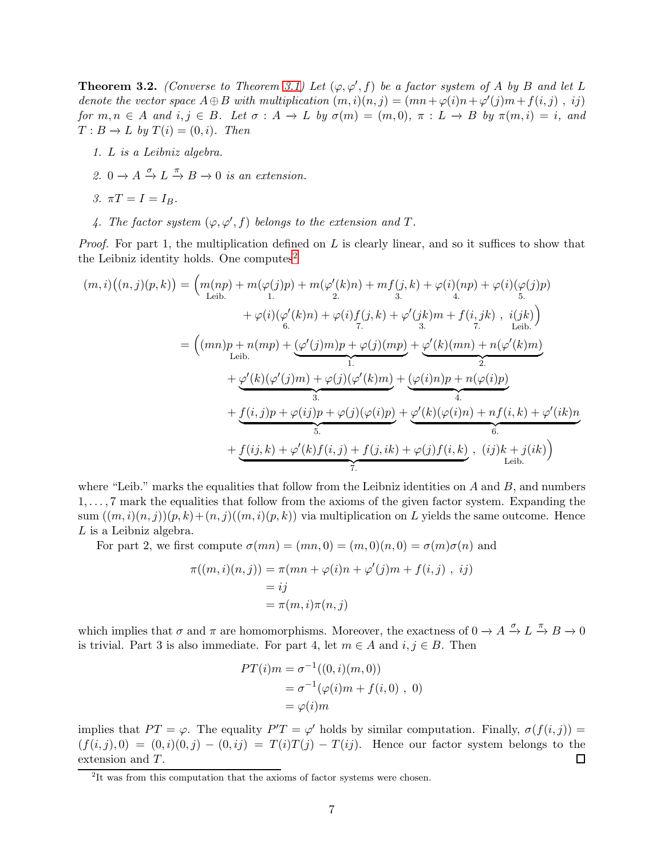<span id="page-6-1"></span>**Theorem 3.2.** *(Converse to Theorem [3.1\)](#page-5-1) Let*  $(\varphi, \varphi', f)$  *be a factor system of* A *by* B and let L *denote the vector space*  $A \oplus B$  *with multiplication*  $(m, i)(n, j) = (mn + \varphi(i)n + \varphi'(j)m + f(i, j), ij)$ *for*  $m, n \in A$  *and*  $i, j \in B$ *. Let*  $\sigma : A \to L$  *by*  $\sigma(m) = (m, 0), \pi : L \to B$  *by*  $\pi(m, i) = i$ *, and*  $T: B \to L$  *by*  $T(i) = (0, i)$ *. Then* 

- *1.* L *is a Leibniz algebra.*
- 2.  $0 \to A \xrightarrow{\sigma} L \xrightarrow{\pi} B \to 0$  *is an extension.*
- *3.*  $\pi T = I = I_B$ .
- 4. The factor system  $(\varphi, \varphi', f)$  belongs to the extension and  $T$ .

*Proof.* For part 1, the multiplication defined on L is clearly linear, and so it suffices to show that the Leibniz identity holds. One computes<sup>[2](#page-6-0)</sup>

$$
(m,i)((n,j)(p,k)) = (m(np) + m(\varphi(j)p) + m(\varphi'(k)n) + mf(j,k) + \varphi(i)(np) + \varphi(i)(\varphi(j)p) + \varphi(i)(\varphi'(k)n) + \varphi(i)f(j,k) + \varphi'(jk)m + f(i,jk) , i(jk) = ((mn)p + n(mp) + (\varphi'(j)m)p + \varphi(j)(mp) + \varphi'(k)(mn) + n(\varphi'(k)m) Letib. + \varphi'(k)(\varphi'(j)m) + \varphi(j)(\varphi'(k)m) + (\varphi(i)n)p + n(\varphi(i)p) + \varphi'(k)(\varphi'(j)m) + \varphi(j)(\varphi'(k)m) + (\varphi(i)n)p + n(\varphi(i)p) = \frac{1}{3} + \underbrace{f(i,j)p + \varphi(ij)p + \varphi(j)(\varphi(i)p)}_{5} + \underbrace{\varphi'(k)(\varphi(i)n) + nf(i,k) + \varphi'(ik)n}_{6} + \underbrace{f(ij,k) + \varphi'(k)f(i,j) + f(j,ik) + \varphi(j)f(i,k)}_{7} , (ij)k + j(ik)
$$

where "Leib." marks the equalities that follow from the Leibniz identities on  $A$  and  $B$ , and numbers 1, . . . , 7 mark the equalities that follow from the axioms of the given factor system. Expanding the sum  $((m, i)(n, j)(p, k)+(n, j)((m, i)(p, k))$  via multiplication on L yields the same outcome. Hence  $L$  is a Leibniz algebra.

For part 2, we first compute  $\sigma(mn) = (mn, 0) = (m, 0)(n, 0) = \sigma(m)\sigma(n)$  and

$$
\pi((m,i)(n,j)) = \pi(mn + \varphi(i)n + \varphi'(j)m + f(i,j), ij)
$$
  
= ij  
=  $\pi(m,i)\pi(n,j)$ 

which implies that  $\sigma$  and  $\pi$  are homomorphisms. Moreover, the exactness of  $0 \to A \xrightarrow{\sigma} L \xrightarrow{\pi} B \to 0$ is trivial. Part 3 is also immediate. For part 4, let  $m \in A$  and  $i, j \in B$ . Then

$$
PT(i)m = \sigma^{-1}((0, i)(m, 0))
$$
  
=  $\sigma^{-1}(\varphi(i)m + f(i, 0), 0)$   
=  $\varphi(i)m$ 

implies that  $PT = \varphi$ . The equality  $P'T = \varphi'$  holds by similar computation. Finally,  $\sigma(f(i, j)) =$  $(f(i, j), 0) = (0, i)(0, j) - (0, ij) = T(i)T(j) - T(ij)$ . Hence our factor system belongs to the extension and T. □

<span id="page-6-0"></span><sup>&</sup>lt;sup>2</sup>It was from this computation that the axioms of factor systems were chosen.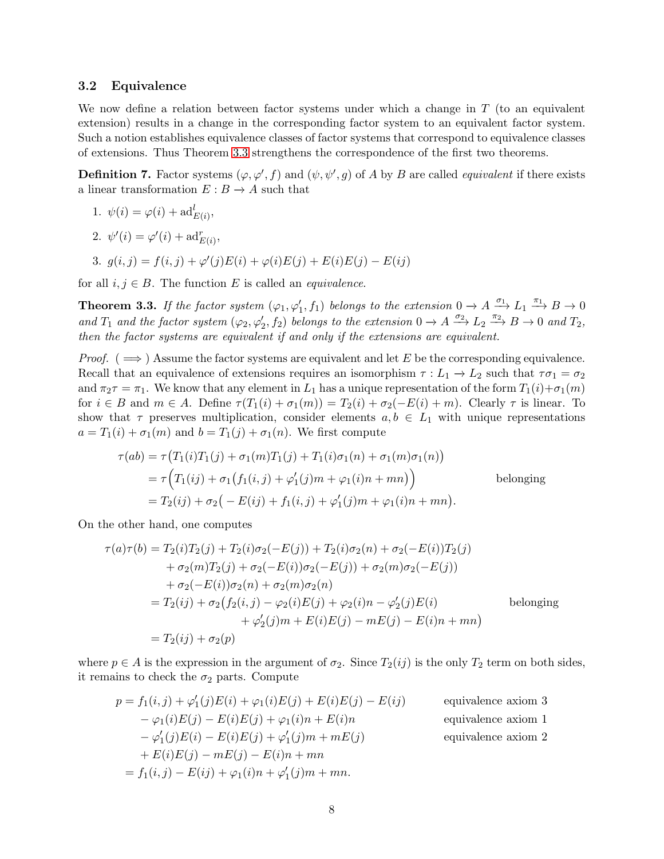#### <span id="page-7-0"></span>3.2 Equivalence

We now define a relation between factor systems under which a change in  $T$  (to an equivalent extension) results in a change in the corresponding factor system to an equivalent factor system. Such a notion establishes equivalence classes of factor systems that correspond to equivalence classes of extensions. Thus Theorem [3.3](#page-7-1) strengthens the correspondence of the first two theorems.

**Definition 7.** Factor systems  $(\varphi, \varphi', f)$  and  $(\psi, \psi', g)$  of A by B are called *equivalent* if there exists a linear transformation  $E : B \to A$  such that

1. 
$$
\psi(i) = \varphi(i) + \mathrm{ad}_{E(i)}^l,
$$

- 2.  $\psi'(i) = \varphi'(i) + \mathrm{ad}_{E(i)}^r$
- 3.  $g(i, j) = f(i, j) + \varphi'(j)E(i) + \varphi(i)E(j) + E(i)E(j) E(ij)$

for all  $i, j \in B$ . The function E is called an *equivalence*.

<span id="page-7-1"></span>**Theorem 3.3.** If the factor system  $(\varphi_1, \varphi'_1, f_1)$  belongs to the extension  $0 \to A \xrightarrow{\sigma_1} L_1 \xrightarrow{\pi_1} B \to 0$ and  $T_1$  and the factor system  $(\varphi_2, \varphi'_2, f_2)$  belongs to the extension  $0 \to A \xrightarrow{\sigma_2} L_2 \xrightarrow{\pi_2} B \to 0$  and  $T_2$ , *then the factor systems are equivalent if and only if the extensions are equivalent.*

*Proof.* ( $\implies$ ) Assume the factor systems are equivalent and let E be the corresponding equivalence. Recall that an equivalence of extensions requires an isomorphism  $\tau : L_1 \to L_2$  such that  $\tau \sigma_1 = \sigma_2$ and  $\pi_2\tau = \pi_1$ . We know that any element in  $L_1$  has a unique representation of the form  $T_1(i)+\sigma_1(m)$ for  $i \in B$  and  $m \in A$ . Define  $\tau(T_1(i) + \sigma_1(m)) = T_2(i) + \sigma_2(-E(i) + m)$ . Clearly  $\tau$  is linear. To show that  $\tau$  preserves multiplication, consider elements  $a, b \in L_1$  with unique representations  $a = T_1(i) + \sigma_1(m)$  and  $b = T_1(j) + \sigma_1(n)$ . We first compute

$$
\tau(ab) = \tau(T_1(i)T_1(j) + \sigma_1(m)T_1(j) + T_1(i)\sigma_1(n) + \sigma_1(m)\sigma_1(n))
$$
  
=  $\tau(T_1(ij) + \sigma_1(f_1(i,j) + \varphi'_1(j)m + \varphi_1(i)n + mn))$  belonging  
=  $T_2(ij) + \sigma_2(-E(ij) + f_1(i,j) + \varphi'_1(j)m + \varphi_1(i)n + mn).$ 

On the other hand, one computes

$$
\tau(a)\tau(b) = T_2(i)T_2(j) + T_2(i)\sigma_2(-E(j)) + T_2(i)\sigma_2(n) + \sigma_2(-E(i))T_2(j) \n+ \sigma_2(m)T_2(j) + \sigma_2(-E(i))\sigma_2(-E(j)) + \sigma_2(m)\sigma_2(-E(j)) \n+ \sigma_2(-E(i))\sigma_2(n) + \sigma_2(m)\sigma_2(n) \n= T_2(ij) + \sigma_2(f_2(i,j) - \varphi_2(i)E(j) + \varphi_2(i)n - \varphi'_2(j)E(i) \qquad \text{belonging} \n+ \varphi'_2(j)m + E(i)E(j) - mE(j) - E(i)n + mn) \n= T_2(ij) + \sigma_2(p)
$$

where  $p \in A$  is the expression in the argument of  $\sigma_2$ . Since  $T_2(ij)$  is the only  $T_2$  term on both sides, it remains to check the  $\sigma_2$  parts. Compute

$$
p = f_1(i, j) + \varphi'_1(j)E(i) + \varphi_1(i)E(j) + E(i)E(j) - E(ij)
$$
 equivalence axiom 3  
\n
$$
-\varphi_1(i)E(j) - E(i)E(j) + \varphi_1(i)n + E(i)n
$$
 equivalence axiom 1  
\n
$$
-\varphi'_1(j)E(i) - E(i)E(j) + \varphi'_1(j)m + mE(j)
$$
 equivalence axiom 2  
\n
$$
+ E(i)E(j) - mE(j) - E(i)n + mn
$$
  
\n
$$
= f_1(i, j) - E(ij) + \varphi_1(i)n + \varphi'_1(j)m + mn.
$$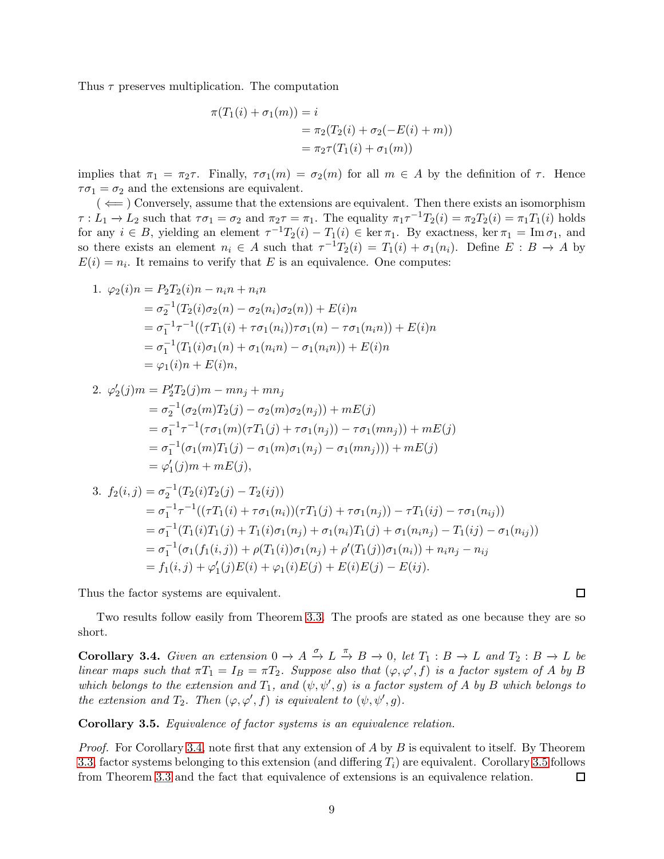Thus  $\tau$  preserves multiplication. The computation

$$
\pi(T_1(i) + \sigma_1(m)) = i
$$
  
=  $\pi_2(T_2(i) + \sigma_2(-E(i) + m))$   
=  $\pi_2\tau(T_1(i) + \sigma_1(m))$ 

implies that  $\pi_1 = \pi_2 \tau$ . Finally,  $\tau \sigma_1(m) = \sigma_2(m)$  for all  $m \in A$  by the definition of  $\tau$ . Hence  $\tau \sigma_1 = \sigma_2$  and the extensions are equivalent.

 $($   $\Leftarrow$   $)$  Conversely, assume that the extensions are equivalent. Then there exists an isomorphism  $\tau: L_1 \to L_2$  such that  $\tau \sigma_1 = \sigma_2$  and  $\pi_2 \tau = \pi_1$ . The equality  $\pi_1 \tau^{-1} T_2(i) = \pi_2 T_2(i) = \pi_1 T_1(i)$  holds for any  $i \in B$ , yielding an element  $\tau^{-1}T_2(i) - T_1(i) \in \ker \pi_1$ . By exactness,  $\ker \pi_1 = \text{Im } \sigma_1$ , and so there exists an element  $n_i \in A$  such that  $\tau^{-1}T_2(i) = T_1(i) + \sigma_1(n_i)$ . Define  $E : B \to A$  by  $E(i) = n_i$ . It remains to verify that E is an equivalence. One computes:

1. 
$$
\varphi_2(i)n = P_2T_2(i)n - n_i n + n_i n
$$
  
\n
$$
= \sigma_2^{-1}(T_2(i)\sigma_2(n) - \sigma_2(n_i)\sigma_2(n)) + E(i)n
$$
\n
$$
= \sigma_1^{-1}\tau^{-1}((\tau T_1(i) + \tau \sigma_1(n_i))\tau \sigma_1(n) - \tau \sigma_1(n_i n)) + E(i)n
$$
\n
$$
= \sigma_1^{-1}(T_1(i)\sigma_1(n) + \sigma_1(n_i n) - \sigma_1(n_i n)) + E(i)n
$$
\n
$$
= \varphi_1(i)n + E(i)n,
$$

2. 
$$
\varphi'_2(j)m = P'_2T_2(j)m - mn_j + mn_j
$$
  
\t\t\t $= \sigma_2^{-1}(\sigma_2(m)T_2(j) - \sigma_2(m)\sigma_2(n_j)) + mE(j)$   
\t\t\t $= \sigma_1^{-1}\tau^{-1}(\tau\sigma_1(m)(\tau T_1(j) + \tau\sigma_1(n_j)) - \tau\sigma_1(mn_j)) + mE(j)$   
\t\t\t $= \sigma_1^{-1}(\sigma_1(m)T_1(j) - \sigma_1(m)\sigma_1(n_j) - \sigma_1(mn_j))) + mE(j)$   
\t\t\t $= \varphi'_1(j)m + mE(j),$ 

3. 
$$
f_2(i,j) = \sigma_2^{-1}(T_2(i)T_2(j) - T_2(ij))
$$
  
\t $= \sigma_1^{-1}\tau^{-1}((\tau T_1(i) + \tau \sigma_1(n_i))(\tau T_1(j) + \tau \sigma_1(n_j)) - \tau T_1(ij) - \tau \sigma_1(n_{ij}))$   
\t $= \sigma_1^{-1}(T_1(i)T_1(j) + T_1(i)\sigma_1(n_j) + \sigma_1(n_i)T_1(j) + \sigma_1(n_i n_j) - T_1(ij) - \sigma_1(n_{ij}))$   
\t $= \sigma_1^{-1}(\sigma_1(f_1(i,j)) + \rho(T_1(i))\sigma_1(n_j) + \rho'(T_1(j))\sigma_1(n_i)) + n_i n_j - n_{ij}$   
\t $= f_1(i,j) + \varphi'_1(j)E(i) + \varphi_1(i)E(j) + E(i)E(j) - E(ij).$ 

Thus the factor systems are equivalent.

Two results follow easily from Theorem [3.3.](#page-7-1) The proofs are stated as one because they are so short.

<span id="page-8-0"></span>**Corollary 3.4.** Given an extension  $0 \to A \xrightarrow{\sigma} L \xrightarrow{\pi} B \to 0$ , let  $T_1 : B \to L$  and  $T_2 : B \to L$  be *linear maps such that*  $\pi T_1 = I_B = \pi T_2$ . Suppose also that  $(\varphi, \varphi', f)$  is a factor system of A by B *which belongs to the extension and*  $T_1$ , and  $(\psi, \psi', g)$  *is a factor system of* A *by* B *which belongs to the extension and*  $T_2$ *. Then*  $(\varphi, \varphi', f)$  *is equivalent to*  $(\psi, \psi', g)$ *.* 

<span id="page-8-1"></span>Corollary 3.5. *Equivalence of factor systems is an equivalence relation.*

*Proof.* For Corollary [3.4,](#page-8-0) note first that any extension of A by B is equivalent to itself. By Theorem [3.3,](#page-7-1) factor systems belonging to this extension (and differing  $T_i$ ) are equivalent. Corollary [3.5](#page-8-1) follows from Theorem [3.3](#page-7-1) and the fact that equivalence of extensions is an equivalence relation.  $\Box$ 

 $\Box$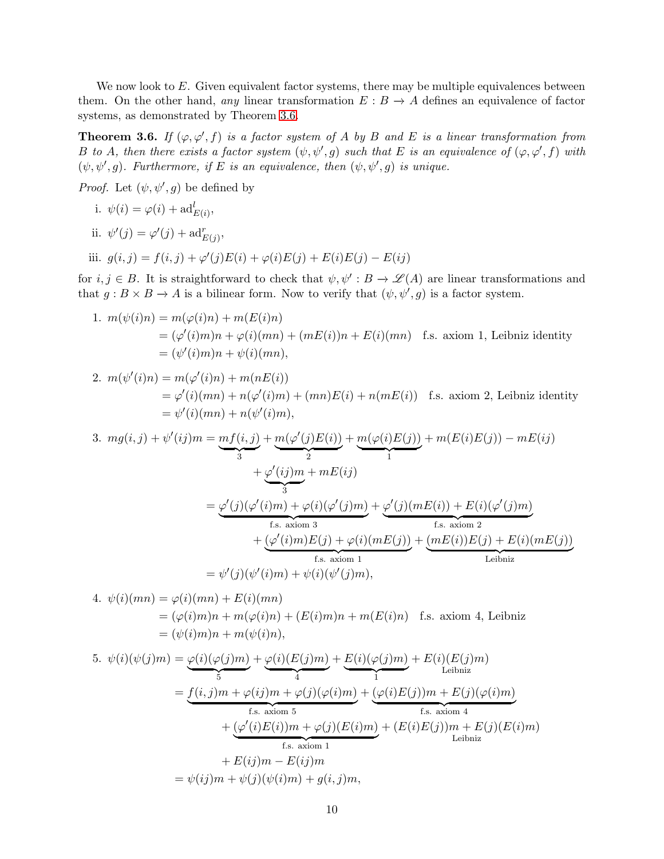We now look to  $E$ . Given equivalent factor systems, there may be multiple equivalences between them. On the other hand, *any* linear transformation  $E : B \to A$  defines an equivalence of factor systems, as demonstrated by Theorem [3.6.](#page-9-0)

<span id="page-9-0"></span>**Theorem 3.6.** If  $(\varphi, \varphi', f)$  *is a factor system of* A *by* B and E *is a linear transformation from* B *to* A, then there exists a factor system  $(\psi, \psi', g)$  such that E is an equivalence of  $(\varphi, \varphi', f)$  with  $(\psi, \psi', g)$ . Furthermore, if E is an equivalence, then  $(\psi, \psi', g)$  is unique.

*Proof.* Let  $(\psi, \psi', g)$  be defined by

i. 
$$
\psi(i) = \varphi(i) + \mathrm{ad}_{E(i)}^l
$$
,

ii.  $\psi'(j) = \varphi'(j) + \mathrm{ad}_{E(j)}^r$ ,

iii.  $g(i, j) = f(i, j) + \varphi'(j)E(i) + \varphi(i)E(j) + E(i)E(j) - E(ij)$ 

for  $i, j \in B$ . It is straightforward to check that  $\psi, \psi' : B \to \mathscr{L}(A)$  are linear transformations and that  $g: B \times B \to A$  is a bilinear form. Now to verify that  $(\psi, \psi', g)$  is a factor system.

1. 
$$
m(\psi(i)n) = m(\varphi(i)n) + m(E(i)n)
$$
  
=  $(\varphi'(i)m)n + \varphi(i)(mn) + (mE(i))n + E(i)(mn)$  f.s. axiom 1, Leibniz identity  
=  $(\psi'(i)m)n + \psi(i)(mn)$ ,

2. 
$$
m(\psi'(i)n) = m(\varphi'(i)n) + m(nE(i))
$$
  
= 
$$
\varphi'(i)(mn) + n(\varphi'(i)m) + (mn)E(i) + n(mE(i))
$$
 f.s. axiom 2, Leibniz identity  
= 
$$
\psi'(i)(mn) + n(\psi'(i)m),
$$

3. 
$$
mg(i, j) + \psi'(ij)m = \underbrace{mf(i, j)}_{3} + \underbrace{m(\varphi'(j)E(i))}_{2} + \underbrace{m(\varphi(i)E(j))}_{1} + m(E(i)E(j)) - mE(ij)
$$
  
\n
$$
+ \underbrace{\varphi'(ij)m}_{3} + mE(ij)
$$
\n
$$
= \underbrace{\varphi'(j)(\varphi'(i)m) + \varphi(i)(\varphi'(j)m)}_{f.s. \text{ axiom 3}} + \underbrace{\varphi'(j)(mE(i)) + E(i)(\varphi'(j)m)}_{f.s. \text{ axiom 2}}
$$
\n
$$
= \psi'(j)(\psi'(i)m) + \psi(i)(\psi'(j)m),
$$
\n
$$
= \psi'(j)(\psi'(i)m) + \psi(i)(\psi'(j)m),
$$
Leibniz

4. 
$$
\psi(i)(mn) = \varphi(i)(mn) + E(i)(mn)
$$
  
= 
$$
(\varphi(i)m)n + m(\varphi(i)n) + (E(i)m)n + m(E(i)n)
$$
 f.s. axiom 4, Leibniz  
= 
$$
(\psi(i)m)n + m(\psi(i)n),
$$

5. 
$$
\psi(i)(\psi(j)m) = \underbrace{\varphi(i)(\varphi(j)m)}_{5} + \underbrace{\varphi(i)(E(j)m)}_{4} + \underbrace{E(i)(\varphi(j)m)}_{1} + E(i)(E(j)m)
$$
\n
$$
= \underbrace{f(i,j)m + \varphi(i)m + \varphi(j)(\varphi(i)m)}_{\text{fs. axiom 5}} + \underbrace{(\varphi(i)E(j)m + E(j)(\varphi(i)m)}_{\text{fs. axiom 4}} + \underbrace{(\varphi'(i)E(i))m + \varphi(j)(E(i)m)}_{\text{fs. axiom 1}} + E(i)m - E(ij)m
$$
\n
$$
= \psi(ij)m + \psi(j)(\psi(im) + g(i,j)m,
$$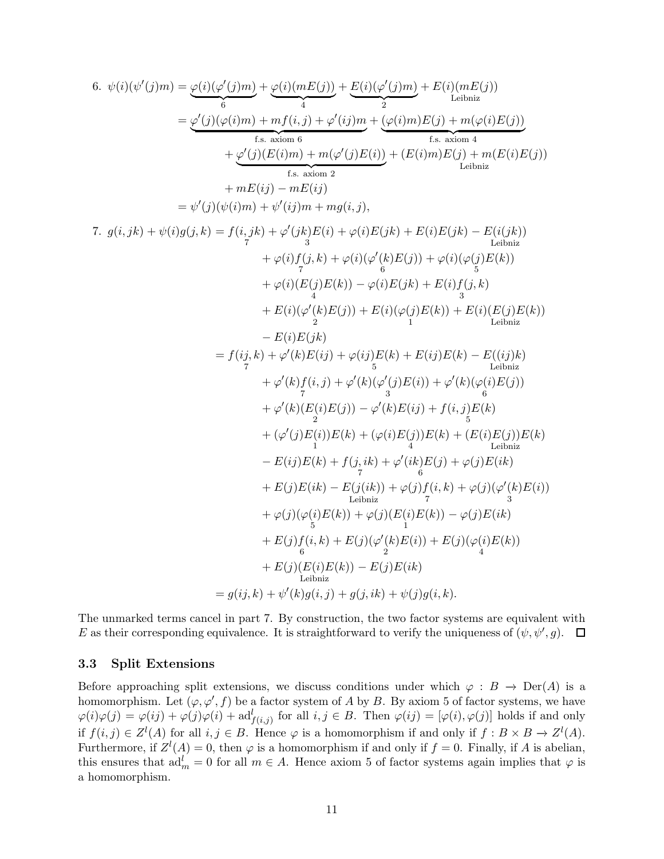6. 
$$
\psi(i)(\psi'(j)m) = \underbrace{\varphi(i)(\varphi'(j)m)}_{6} + \underbrace{\varphi(i)(mE(j))}_{6} + \underbrace{E(i)(\varphi(j)m)}_{1} + \underbrace{E(i)(\varphi'(j)m)}_{2} + E(i)(mE(j))
$$
\n
$$
= \underbrace{\varphi'(j)(\varphi(i)m) + mf(i,j) + \varphi'(ij)m}_{t.s. axion 6} + \underbrace{\varphi(j)(E(im)) + m(\varphi(j)E(i))}_{t.s. axion 4} + \underbrace{\varphi(j)(E(im)) + m(\varphi'(j)E(i))}_{t.s. axion 2} + \underbrace{F(kj)m}_{t.s. axion 2}
$$
\n
$$
= \psi'(j)(\psi(i)m) + \psi'(ij)m + mg(i,j),
$$
\n7. 
$$
g(i,jk) + \psi(i)g(j,k) = f(i,jk) + \varphi'(jk)E(i) + \varphi(i)E(jk) + E(i)E(jk) - E(i(jk))
$$
\n
$$
+ \varphi(i)f(j,k) + \varphi(i)(\varphi'(k)E(j)) + \varphi(i)(\varphi(j)E(k))
$$
\n
$$
+ \varphi(i)(E(j)E(k)) - \varphi(i)E(jk) + E(i)f(j,k)
$$
\n
$$
+ E(i)(\varphi'(k)E(j)) + E(i)(\varphi'(j)E(k)) + E(i)(E(j)E(k))
$$
\n
$$
- E(i)E(jk)
$$
\n
$$
= f(ij,k) + \varphi'(k)E(ij) + \varphi(i)jE(k) + E(i)E(k) - E(ij)k)
$$
\n
$$
+ \varphi'(k)F(i,j) + \varphi'(i)E(k) + E(i)E(k) - E(ij)k)
$$
\n
$$
+ \varphi'(k)E(i)E(j) - \varphi'(k)E(i) + \varphi'(k)(\varphi'(j)E(j))
$$
\n
$$
+ \varphi'(k)E(i)E(j) - \varphi'(k)E(i) + f(i,j)E(k)
$$
\n
$$
+ (\varphi'(j)E(i))E(k) + (\varphi(i)E(j))E(k) + (E(i)E(j))E(k)
$$
\n
$$
- E(ij)E(k) + f(j,ik) + \varphi'(i)E(j) + \varphi(j)E(k) + E(j)E(k)
$$
\n
$$
+ E(j)E(k
$$

The unmarked terms cancel in part 7. By construction, the two factor systems are equivalent with E as their corresponding equivalence. It is straightforward to verify the uniqueness of  $(\psi, \psi', g)$ .

#### <span id="page-10-0"></span>3.3 Split Extensions

Before approaching split extensions, we discuss conditions under which  $\varphi : B \to \text{Der}(A)$  is a homomorphism. Let  $(\varphi, \varphi', f)$  be a factor system of A by B. By axiom 5 of factor systems, we have  $\varphi(i)\varphi(j) = \varphi(ij) + \varphi(j)\varphi(i) + \mathrm{ad}_{f(i,j)}^l$  for all  $i, j \in B$ . Then  $\varphi(ij) = [\varphi(i), \varphi(j)]$  holds if and only if  $f(i, j) \in Z^{l}(A)$  for all  $i, j \in B$ . Hence  $\varphi$  is a homomorphism if and only if  $f: B \times B \to Z^{l}(A)$ . Furthermore, if  $Z^l(A) = 0$ , then  $\varphi$  is a homomorphism if and only if  $f = 0$ . Finally, if A is abelian, this ensures that  $ad_m^l = 0$  for all  $m \in A$ . Hence axiom 5 of factor systems again implies that  $\varphi$  is a homomorphism.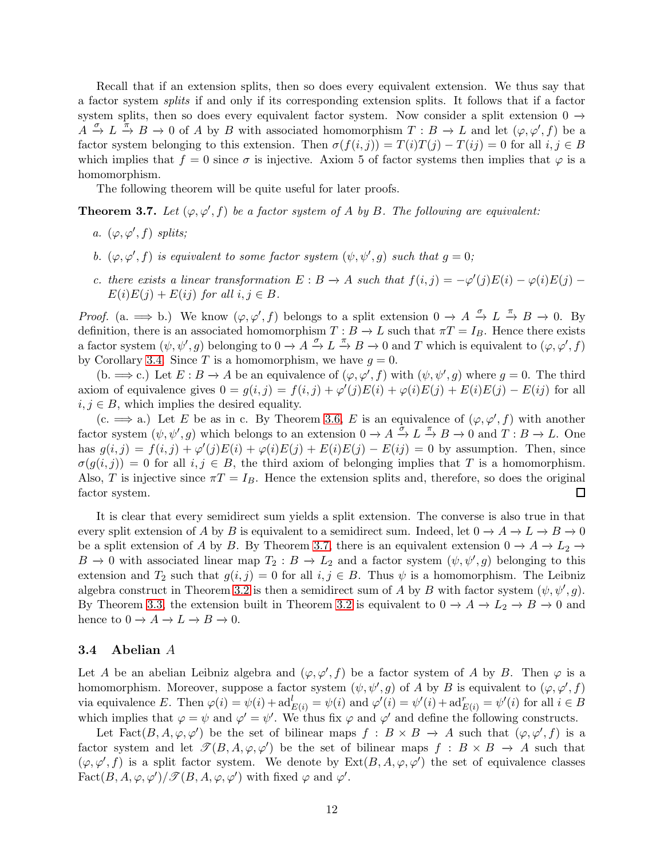Recall that if an extension splits, then so does every equivalent extension. We thus say that a factor system *splits* if and only if its corresponding extension splits. It follows that if a factor system splits, then so does every equivalent factor system. Now consider a split extension 0  $\rightarrow$  $A \stackrel{\sigma}{\to} L \stackrel{\pi}{\to} B \to 0$  of A by B with associated homomorphism  $T : B \to L$  and let  $(\varphi, \varphi', f)$  be a factor system belonging to this extension. Then  $\sigma(f(i, j)) = T(i)T(j) - T(ij) = 0$  for all  $i, j \in B$ which implies that  $f = 0$  since  $\sigma$  is injective. Axiom 5 of factor systems then implies that  $\varphi$  is a homomorphism.

The following theorem will be quite useful for later proofs.

<span id="page-11-1"></span>**Theorem 3.7.** Let  $(\varphi, \varphi', f)$  be a factor system of A by B. The following are equivalent:

- *a.*  $(\varphi, \varphi', f)$  *splits*;
- *b.*  $(\varphi, \varphi', f)$  *is equivalent to some factor system*  $(\psi, \psi', g)$  *such that*  $g = 0$ ;
- *c. there exists a linear transformation*  $E : B \to A$  *such that*  $f(i, j) = -\varphi'(j)E(i) \varphi(i)E(j) E(i)E(j) + E(ij)$  *for all*  $i, j \in B$ *.*

*Proof.* (a.  $\implies$  b.) We know  $(\varphi, \varphi', f)$  belongs to a split extension  $0 \to A \stackrel{\sigma}{\to} L \stackrel{\pi}{\to} B \to 0$ . By definition, there is an associated homomorphism  $T : B \to L$  such that  $\pi T = I_B$ . Hence there exists a factor system  $(\psi, \psi', g)$  belonging to  $0 \to A \to L \to B \to 0$  and T which is equivalent to  $(\varphi, \varphi', f)$ by Corollary [3.4.](#page-8-0) Since T is a homomorphism, we have  $g = 0$ .

(b.  $\implies$  c.) Let  $E : B \to A$  be an equivalence of  $(\varphi, \varphi', f)$  with  $(\psi, \psi', g)$  where  $g = 0$ . The third axiom of equivalence gives  $0 = g(i, j) = f(i, j) + \varphi'(j)E(i) + \varphi(i)E(j) + E(i)E(j) - E(ij)$  for all  $i, j \in B$ , which implies the desired equality.

(c.  $\implies$  a.) Let E be as in c. By Theorem [3.6,](#page-9-0) E is an equivalence of  $(\varphi, \varphi', f)$  with another factor system  $(\psi, \psi', g)$  which belongs to an extension  $0 \to A \xrightarrow{\tilde{\sigma}} L \xrightarrow{\pi} B \to 0$  and  $T : B \to L$ . One has  $g(i, j) = f(i, j) + \varphi'(j)E(i) + \varphi(i)E(j) + E(i)E(j) - E(ij) = 0$  by assumption. Then, since  $\sigma(g(i, j)) = 0$  for all  $i, j \in B$ , the third axiom of belonging implies that T is a homomorphism. Also, T is injective since  $\pi T = I_B$ . Hence the extension splits and, therefore, so does the original factor system. □

It is clear that every semidirect sum yields a split extension. The converse is also true in that every split extension of A by B is equivalent to a semidirect sum. Indeed, let  $0 \to A \to L \to B \to 0$ be a split extension of A by B. By Theorem [3.7,](#page-11-1) there is an equivalent extension  $0 \to A \to L_2 \to$  $B \to 0$  with associated linear map  $T_2 : B \to L_2$  and a factor system  $(\psi, \psi', g)$  belonging to this extension and  $T_2$  such that  $g(i, j) = 0$  for all  $i, j \in B$ . Thus  $\psi$  is a homomorphism. The Leibniz algebra construct in Theorem [3.2](#page-6-1) is then a semidirect sum of A by B with factor system  $(\psi, \psi', g)$ . By Theorem [3.3,](#page-7-1) the extension built in Theorem [3.2](#page-6-1) is equivalent to  $0 \to A \to L_2 \to B \to 0$  and hence to  $0 \to A \to L \to B \to 0$ .

#### <span id="page-11-0"></span>3.4 Abelian A

Let A be an abelian Leibniz algebra and  $(\varphi, \varphi', f)$  be a factor system of A by B. Then  $\varphi$  is a homomorphism. Moreover, suppose a factor system  $(\psi, \psi', g)$  of A by B is equivalent to  $(\varphi, \varphi', f)$ via equivalence E. Then  $\varphi(i) = \psi(i) + \mathrm{ad}_{E(i)}^l = \psi(i)$  and  $\varphi'(i) = \psi'(i) + \mathrm{ad}_{E(i)}^r = \psi'(i)$  for all  $i \in B$ which implies that  $\varphi = \psi$  and  $\varphi' = \psi'$ . We thus fix  $\varphi$  and  $\varphi'$  and define the following constructs.

Let Fact $(B, A, \varphi, \varphi')$  be the set of bilinear maps  $f : B \times B \to A$  such that  $(\varphi, \varphi', f)$  is a factor system and let  $\mathcal{T}(B, A, \varphi, \varphi')$  be the set of bilinear maps  $f : B \times B \to A$  such that  $(\varphi, \varphi', f)$  is a split factor system. We denote by  $Ext(B, A, \varphi, \varphi')$  the set of equivalence classes Fact $(B, A, \varphi, \varphi')/\mathscr{T}(B, A, \varphi, \varphi')$  with fixed  $\varphi$  and  $\varphi'$ .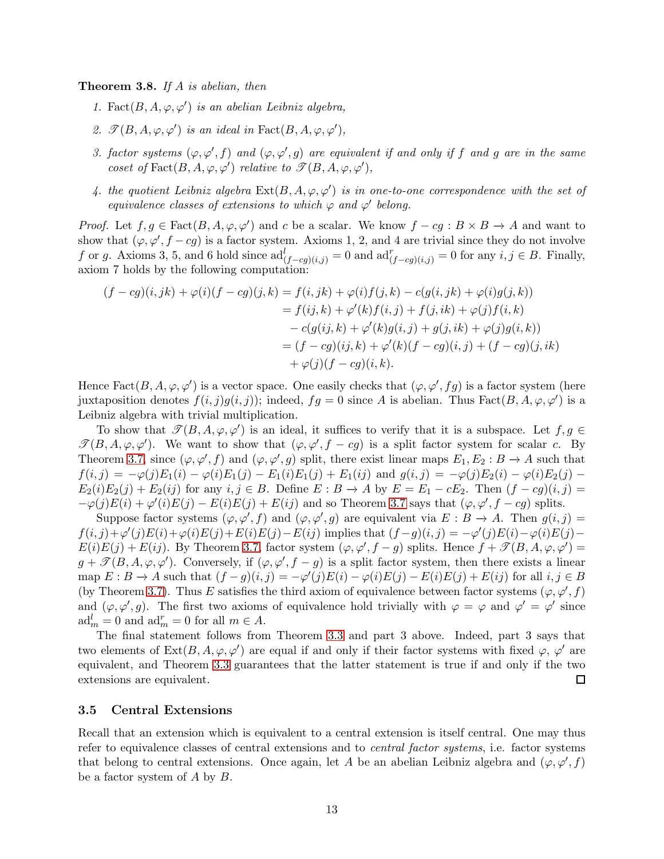<span id="page-12-1"></span>Theorem 3.8. *If* A *is abelian, then*

- *1.* Fact $(B, A, \varphi, \varphi')$  *is an abelian Leibniz algebra,*
- 2.  $\mathcal{T}(B, A, \varphi, \varphi')$  *is an ideal in* Fact $(B, A, \varphi, \varphi')$ *,*
- *3. factor systems*  $(\varphi, \varphi', f)$  *and*  $(\varphi, \varphi', g)$  *are equivalent if and only if* f *and* g *are in the same coset of*  $Fact(R, A, \varphi, \varphi')$  *relative to*  $\mathcal{T}(B, A, \varphi, \varphi')$ *,*
- 4. the quotient Leibniz algebra  $\text{Ext}(B, A, \varphi, \varphi')$  is in one-to-one correspondence with the set of *equivalence classes of extensions to which*  $\varphi$  *and*  $\varphi'$  *belong.*

*Proof.* Let  $f, g \in \text{Fact}(B, A, \varphi, \varphi')$  and c be a scalar. We know  $f - cg : B \times B \to A$  and want to show that  $(\varphi, \varphi', f - cg)$  is a factor system. Axioms 1, 2, and 4 are trivial since they do not involve f or g. Axioms 3, 5, and 6 hold since  $\mathrm{ad}^l_{(f-cg)(i,j)} = 0$  and  $\mathrm{ad}^r_{(f-cg)(i,j)} = 0$  for any  $i, j \in B$ . Finally, axiom 7 holds by the following computation:

$$
(f - cg)(i, jk) + \varphi(i)(f - cg)(j, k) = f(i, jk) + \varphi(i)f(j, k) - c(g(i, jk) + \varphi(i)g(j, k))
$$
  
=  $f(ij, k) + \varphi'(k)f(i, j) + f(j, ik) + \varphi(j)f(i, k)$   
 $- c(g(ij, k) + \varphi'(k)g(i, j) + g(j, ik) + \varphi(j)g(i, k))$   
=  $(f - cg)(ij, k) + \varphi'(k)(f - cg)(i, j) + (f - cg)(j, ik)$   
 $+ \varphi(j)(f - cg)(i, k).$ 

Hence Fact $(B, A, \varphi, \varphi')$  is a vector space. One easily checks that  $(\varphi, \varphi', fg)$  is a factor system (here juxtaposition denotes  $f(i, j)g(i, j)$ ; indeed,  $fg = 0$  since A is abelian. Thus  $Fact(B, A, \varphi, \varphi')$  is a Leibniz algebra with trivial multiplication.

To show that  $\mathcal{T}(B, A, \varphi, \varphi')$  is an ideal, it suffices to verify that it is a subspace. Let  $f, g \in$  $\mathcal{T}(B,A,\varphi,\varphi')$ . We want to show that  $(\varphi,\varphi',f-cg)$  is a split factor system for scalar c. By Theorem [3.7,](#page-11-1) since  $(\varphi, \varphi', f)$  and  $(\varphi, \varphi', g)$  split, there exist linear maps  $E_1, E_2 : B \to A$  such that  $f(i, j) = -\varphi(j)E_1(i) - \varphi(i)E_1(j) - E_1(i)E_1(j) + E_1(ij)$  and  $g(i, j) = -\varphi(j)E_2(i) - \varphi(i)E_2(j) - E_1(i)E_1(j)$  $E_2(i)E_2(j) + E_2(ij)$  for any  $i, j \in B$ . Define  $E : B \to A$  by  $E = E_1 - cE_2$ . Then  $(f - cg)(i, j) =$  $-\varphi(j)E(i) + \varphi'(i)E(j) - E(i)E(j) + E(ij)$  and so Theorem [3.7](#page-11-1) says that  $(\varphi, \varphi', f - cg)$  splits.

Suppose factor systems  $(\varphi, \varphi', f)$  and  $(\varphi, \varphi', g)$  are equivalent via  $E : B \to A$ . Then  $g(i, j) =$  $f(i, j) + \varphi'(j)E(i) + \varphi(i)E(j) + E(i)E(j) - E(ij)$  implies that  $(f - g)(i, j) = -\varphi'(j)E(i) - \varphi(i)E(j) - E(j)E(j)$  $E(i)E(j) + E(ij)$ . By Theorem [3.7,](#page-11-1) factor system  $(\varphi, \varphi', f - g)$  splits. Hence  $f + \mathcal{T}(B, A, \varphi, \varphi') =$  $g + \mathcal{T}(B, A, \varphi, \varphi')$ . Conversely, if  $(\varphi, \varphi', f - g)$  is a split factor system, then there exists a linear map  $E : B \to A$  such that  $(f - g)(i, j) = -\varphi'(j)E(i) - \varphi(i)E(j) - E(i)E(j) + E(ij)$  for all  $i, j \in B$ (by Theorem [3.7\)](#page-11-1). Thus E satisfies the third axiom of equivalence between factor systems  $(\varphi, \varphi', f)$ and  $(\varphi, \varphi', g)$ . The first two axioms of equivalence hold trivially with  $\varphi = \varphi$  and  $\varphi' = \varphi'$  since  $\mathrm{ad}_m^l = 0$  and  $\mathrm{ad}_m^r = 0$  for all  $m \in A$ .

The final statement follows from Theorem [3.3](#page-7-1) and part 3 above. Indeed, part 3 says that two elements of  $Ext(B, A, \varphi, \varphi')$  are equal if and only if their factor systems with fixed  $\varphi, \varphi'$  are equivalent, and Theorem [3.3](#page-7-1) guarantees that the latter statement is true if and only if the two extensions are equivalent.  $\Box$ 

#### <span id="page-12-0"></span>3.5 Central Extensions

Recall that an extension which is equivalent to a central extension is itself central. One may thus refer to equivalence classes of central extensions and to *central factor systems*, i.e. factor systems that belong to central extensions. Once again, let A be an abelian Leibniz algebra and  $(\varphi, \varphi', f)$ be a factor system of A by B.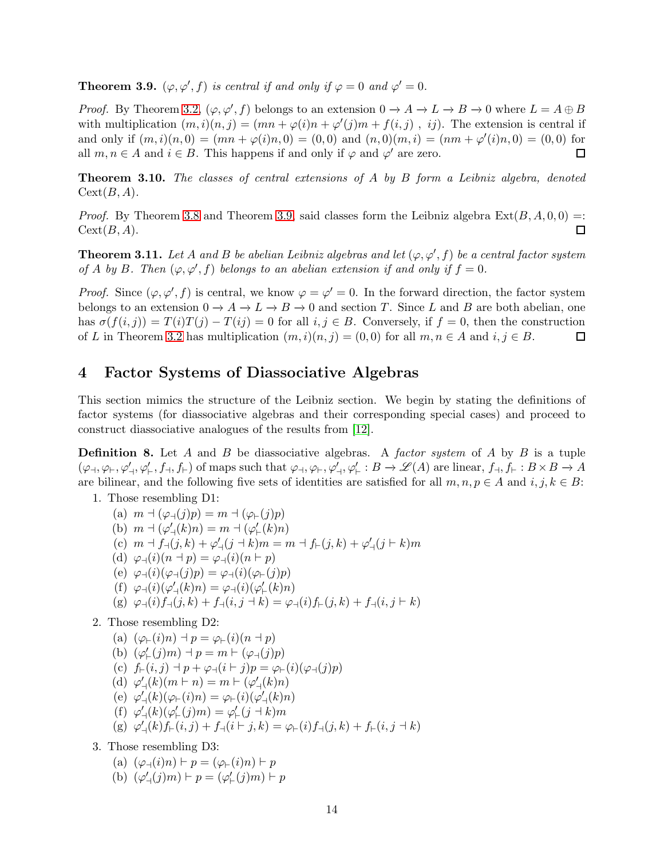<span id="page-13-1"></span>**Theorem 3.9.**  $(\varphi, \varphi', f)$  *is central if and only if*  $\varphi = 0$  *and*  $\varphi' = 0$ *.* 

*Proof.* By Theorem [3.2,](#page-6-1)  $(\varphi, \varphi', f)$  belongs to an extension  $0 \to A \to L \to B \to 0$  where  $L = A \oplus B$ with multiplication  $(m, i)(n, j) = (mn + \varphi(i)n + \varphi'(j)m + f(i, j)$ , ij). The extension is central if and only if  $(m, i)(n, 0) = (mn + \varphi(i)n, 0) = (0, 0)$  and  $(n, 0)(m, i) = (nm + \varphi'(i)n, 0) = (0, 0)$  for all  $m, n \in A$  and  $i \in B$ . This happens if and only if  $\varphi$  and  $\varphi'$  are zero.  $\Box$ 

Theorem 3.10. *The classes of central extensions of* A *by* B *form a Leibniz algebra, denoted*  $Cext(B, A)$ .

*Proof.* By Theorem [3.8](#page-12-1) and Theorem [3.9,](#page-13-1) said classes form the Leibniz algebra  $Ext(B, A, 0, 0) =$ :  $Cext(B, A).$  $\Box$ 

**Theorem 3.11.** Let A and B be abelian Leibniz algebras and let  $(\varphi, \varphi', f)$  be a central factor system *of A by B. Then*  $(\varphi, \varphi', f)$  *belongs to an abelian extension if and only if*  $f = 0$ *.* 

*Proof.* Since  $(\varphi, \varphi', f)$  is central, we know  $\varphi = \varphi' = 0$ . In the forward direction, the factor system belongs to an extension  $0 \to A \to L \to B \to 0$  and section T. Since L and B are both abelian, one has  $\sigma(f(i, j)) = T(i)T(j) - T(ij) = 0$  for all  $i, j \in B$ . Conversely, if  $f = 0$ , then the construction of L in Theorem [3.2](#page-6-1) has multiplication  $(m, i)(n, j) = (0, 0)$  for all  $m, n \in A$  and  $i, j \in B$ . □

### <span id="page-13-0"></span>4 Factor Systems of Diassociative Algebras

This section mimics the structure of the Leibniz section. We begin by stating the definitions of factor systems (for diassociative algebras and their corresponding special cases) and proceed to construct diassociative analogues of the results from [\[12\]](#page-21-9).

Definition 8. Let A and B be diassociative algebras. A *factor system* of A by B is a tuple  $(\varphi_{\dashv}, \varphi_{\vdash}, \varphi'_{\vdash}, f_{\vdash}, f_{\vdash})$  of maps such that  $\varphi_{\dashv}, \varphi_{\vdash}, \varphi'_{\vdash} : B \to \mathscr{L}(A)$  are linear,  $f_{\dashv}, f_{\vdash} : B \times B \to A$ are bilinear, and the following five sets of identities are satisfied for all  $m, n, p \in A$  and  $i, j, k \in B$ :

- 1. Those resembling D1:
	- (a)  $m \dashv (\varphi_{\dashv}(j)p) = m \dashv (\varphi_{\vdash}(j)p)$ (b)  $m \dashv (\varphi'_{\dashv}(k)n) = m \dashv (\varphi'_{\vdash}(k)n)$ (c)  $m \dashv f_{\dashv}(j,k) + \varphi'_{\dashv}(j \dashv k)m = m \dashv f_{\vdash}(j,k) + \varphi'_{\dashv}(j \vdash k)m$ (d)  $\varphi_{\dashv}(i)(n \dashv p) = \varphi_{\dashv}(i)(n \vdash p)$ (e)  $\varphi_{\rightarrow}(i)(\varphi_{\rightarrow}(j)p) = \varphi_{\rightarrow}(i)(\varphi_{\leftarrow}(j)p)$ (f)  $\varphi_{\mathcal{A}}(i)(\varphi'_{\mathcal{A}}(k)n) = \varphi_{\mathcal{A}}(i)(\varphi'_{\mathcal{F}}(k)n)$ (g)  $\varphi_{\dashv}(i) f_{\dashv}(j,k) + f_{\dashv}(i,j \dashv k) = \varphi_{\dashv}(i) f_{\vdash}(j,k) + f_{\dashv}(i,j \vdash k)$
- 2. Those resembling D2:

(a) 
$$
(\varphi_{\vdash}(i)n) \dashv p = \varphi_{\vdash}(i)(n \dashv p)
$$
  
\n(b)  $(\varphi'_{\vdash}(j)m) \dashv p = m \vdash (\varphi_{\dashv}(j)p)$   
\n(c)  $f_{\vdash}(i,j) \dashv p + \varphi_{\dashv}(i \vdash j)p = \varphi_{\vdash}(i)(\varphi_{\dashv}(j)p)$   
\n(d)  $\varphi'_{\dashv}(k)(m \vdash n) = m \vdash (\varphi'_{\dashv}(k)n)$   
\n(e)  $\varphi'_{\dashv}(k)(\varphi_{\vdash}(i)n) = \varphi_{\vdash}(i)(\varphi'_{\dashv}(k)n)$   
\n(f)  $\varphi'_{\dashv}(k)(\varphi'_{\vdash}(j)m) = \varphi'_{\vdash}(j \dashv k)m$   
\n(g)  $\varphi'_{\dashv}(k)f_{\vdash}(i,j) + f_{\dashv}(i \vdash j,k) = \varphi_{\vdash}(i)f_{\dashv}(j,k) + f_{\vdash}(i,j \dashv k)$ 

- 3. Those resembling D3:
	- (a)  $(\varphi_{\dashv}(i)n) \vdash p = (\varphi_{\vdash}(i)n) \vdash p$
	- (b)  $(\varphi'_{\dashv}(j)m) \vdash p = (\varphi'_{\vdash}(j)m) \vdash p$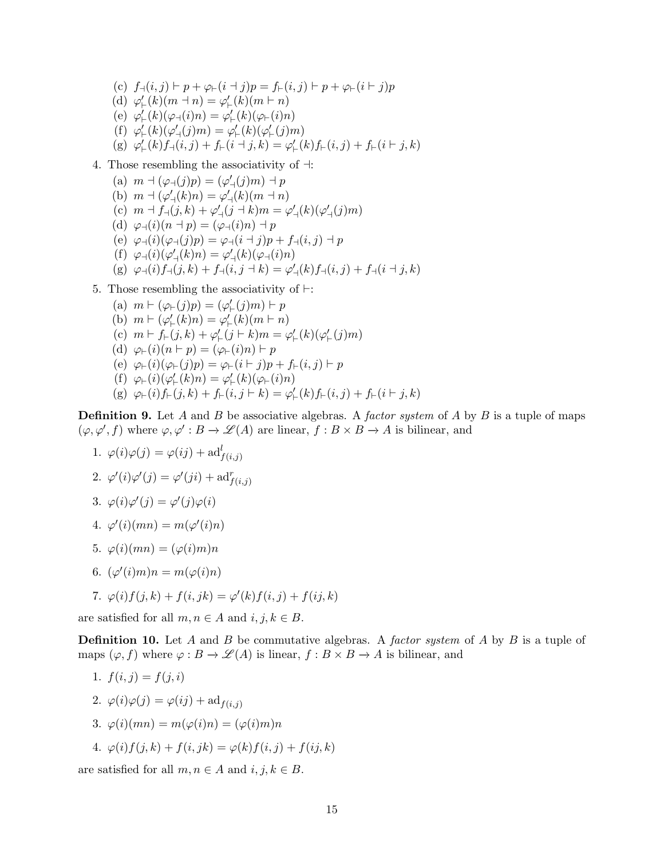- (c)  $f_{\neg}(i, j) \vdash p + \varphi_{\vdash}(i \dashv j)p = f_{\vdash}(i, j) \vdash p + \varphi_{\vdash}(i \vdash j)p$ (d)  $\varphi'_{\vdash}(k)(m \dashv n) = \varphi'_{\vdash}(k)(m \vdash n)$ (e)  $\varphi'_{\vdash}(k)(\varphi_{\dashv}(i)n) = \varphi'_{\vdash}(k)(\varphi_{\vdash}(i)n)$ (f)  $\varphi'_{\vdash}(k)(\varphi'_{\dashv}(j)m) = \varphi'_{\vdash}(k)(\varphi'_{\vdash}(j)m)$ (g)  $\varphi'_{\vdash}(k) f_{\dashv}(i,j) + f_{\vdash}(i \dashv j,k) = \varphi'_{\vdash}(k) f_{\vdash}(i,j) + f_{\vdash}(i \vdash j,k)$
- 4. Those resembling the associativity of ⊣:
	- (a)  $m \dashv (\varphi_{\dashv}(j)p) = (\varphi'_{\dashv}(j)m) \dashv p$ (b)  $m \dashv (\varphi'_{\dashv}(k)n) = \varphi'_{\dashv}(k)(m \dashv n)$ (c)  $m \dashv f_{\dashv}(j,k) + \varphi'_{\dashv}(j \dashv k) m = \varphi'_{\dashv}(k)(\varphi'_{\dashv}(j)m)$ (d)  $\varphi_{\dashv}(i)(n + p) = (\varphi_{\dashv}(i)n) + p$ (e)  $\varphi_{\rightarrow}(i)(\varphi_{\rightarrow}(j)p) = \varphi_{\rightarrow}(i+j)p + f_{\rightarrow}(i,j) + p$ (f)  $\varphi_{\mathcal{A}}(i)(\varphi'_{\mathcal{A}}(k)n) = \varphi'_{\mathcal{A}}(k)(\varphi_{\mathcal{A}}(i)n)$ (g)  $\varphi_{\neg}(i) f_{\neg}(j,k) + f_{\neg}(i,j \dashv k) = \varphi'_{\neg}(k) f_{\neg}(i,j) + f_{\neg}(i \dashv j,k)$
- 5. Those resembling the associativity of ⊢:
	- (a)  $m \vdash (\varphi \vdash (j)p) = (\varphi' \vdash (j)m) \vdash p$ (b)  $m \vdash (\varphi'_{\vdash}(k)n) = \varphi'_{\vdash}(k)(m \vdash n)$ (c)  $m \vdash f_{\vdash}(j,k) + \varphi'_{\vdash}(j \vdash k)m = \varphi'_{\vdash}(k)(\varphi'_{\vdash}(j)m)$ (d)  $\varphi_{\vdash}(i)(n \vdash p) = (\varphi_{\vdash}(i)n) \vdash p$ (e)  $\varphi_{\vdash}(i)(\varphi_{\vdash}(j)p) = \varphi_{\vdash}(i \vdash j)p + f_{\vdash}(i,j) \vdash p$ (f)  $\varphi_{\vdash}(i)(\varphi_{\vdash}'(k)n) = \varphi_{\vdash}'(k)(\varphi_{\vdash}(i)n)$ (g)  $\varphi_{\vdash}(i) f_{\vdash}(j,k) + f_{\vdash}(i,j \vdash k) = \varphi_{\vdash}'(k) f_{\vdash}(i,j) + f_{\vdash}(i \vdash j,k)$

Definition 9. Let A and B be associative algebras. A *factor system* of A by B is a tuple of maps  $(\varphi, \varphi', f)$  where  $\varphi, \varphi' : B \to \mathscr{L}(A)$  are linear,  $f : B \times B \to A$  is bilinear, and

- 1.  $\varphi(i)\varphi(j) = \varphi(ij) + \mathrm{ad}_{f(i,j)}^l$
- 2.  $\varphi'(i)\varphi'(j) = \varphi'(ji) + \mathrm{ad}_{f(i,j)}^r$
- 3.  $\varphi(i)\varphi'(j) = \varphi'(j)\varphi(i)$
- 4.  $\varphi'(i)(mn) = m(\varphi'(i)n)$
- 5.  $\varphi(i)(mn) = (\varphi(i)m)n$
- 6.  $(\varphi'(i)m)n = m(\varphi(i)n)$
- 7.  $\varphi(i) f(j,k) + f(i, jk) = \varphi'(k) f(i, j) + f(i, j, k)$

are satisfied for all  $m, n \in A$  and  $i, j, k \in B$ .

Definition 10. Let A and B be commutative algebras. A *factor system* of A by B is a tuple of maps  $(\varphi, f)$  where  $\varphi : B \to \mathscr{L}(A)$  is linear,  $f : B \times B \to A$  is bilinear, and

- 1.  $f(i, j) = f(j, i)$
- 2.  $\varphi(i)\varphi(j) = \varphi(ij) + \mathrm{ad}_{f(i,j)}$
- 3.  $\varphi(i)(mn) = m(\varphi(i)n) = (\varphi(i)m)n$
- 4.  $\varphi(i) f(j,k) + f(i, jk) = \varphi(k) f(i, j) + f(i, k)$

are satisfied for all  $m, n \in A$  and  $i, j, k \in B$ .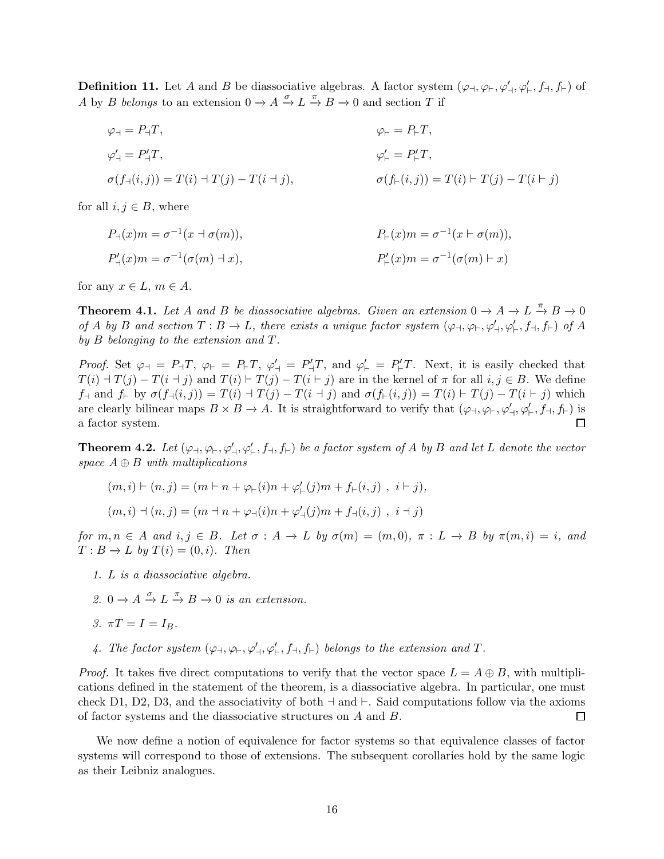**Definition 11.** Let A and B be diassociative algebras. A factor system  $(\varphi_{\dashv}, \varphi_{\vdash}, \varphi'_{\dashv}, \varphi'_{\vdash}, f_{\vdash})$  of A by B *belongs* to an extension  $0 \to A \xrightarrow{\sigma} L \xrightarrow{\pi} B \to 0$  and section T if

$$
\varphi_{+} = P_{+}T,
$$
  
\n
$$
\varphi'_{+} = P'_{+}T,
$$
  
\n
$$
\varphi'_{+} = P'_{+}T,
$$
  
\n
$$
\varphi'_{+} = P'_{+}T,
$$
  
\n
$$
\varphi'_{+} = P'_{+}T,
$$
  
\n
$$
\varphi'_{+} = P'_{+}T,
$$
  
\n
$$
\sigma(f_{+}(i,j)) = T(i) + T(j) - T(i + j),
$$

for all  $i, j \in B$ , where

$$
P_{+}(x)m = \sigma^{-1}(x + \sigma(m)),
$$
  
\n
$$
P_{+}(x)m = \sigma^{-1}(\sigma(m) + x),
$$
  
\n
$$
P'_{+}(x)m = \sigma^{-1}(\sigma(m) + x)
$$
  
\n
$$
P'_{+}(x)m = \sigma^{-1}(\sigma(m) + x)
$$

for any  $x \in L$ ,  $m \in A$ .

**Theorem 4.1.** Let A and B be diassociative algebras. Given an extension  $0 \to A \to L \stackrel{\pi}{\to} B \to 0$  $of A$  *by*  $B$  *and section*  $T : B \to L$ *, there exists a unique factor system*  $(\varphi_{\dashv}, \varphi_{\vdash}, \varphi'_{\dashv}, \varphi'_{\vdash}, f_{\dashv}, f_{\vdash})$  *of*  $A$ *by* B *belonging to the extension and* T*.*

*Proof.* Set  $\varphi_{\dashv} = P_{\dashv}T$ ,  $\varphi_{\vdash} = P_{\dashv}T$ ,  $\varphi'_{\dashv} = P_{\dashv}T$ , and  $\varphi'_{\vdash} = P_{\vdash}T$ . Next, it is easily checked that  $T(i)$   $\exists T(j)$   $\bot$   $T(i + j)$  and  $T(i)$   $\vdash$   $T(j)$   $\bot$   $T(i + j)$  are in the kernel of  $\pi$  for all  $i, j \in B$ . We define  $f_{\dashv}$  and  $f_{\vdash}$  by  $\sigma(f_{\dashv}(i,j)) = T(i) \dashv T(j) - T(i + j)$  and  $\sigma(f_{\vdash}(i,j)) = T(i) \vdash T(j) - T(i + j)$  which are clearly bilinear maps  $B \times B \to A$ . It is straightforward to verify that  $(\varphi_{\dashv}, \varphi_{\vdash}, \varphi'_{\dashv}, \varphi'_{\vdash}, f_{\dashv}, f_{\vdash})$  is a factor system.  $\Box$ 

<span id="page-15-0"></span>**Theorem 4.2.** Let  $(\varphi_{\dashv}, \varphi_{\vdash}, \varphi'_{\vdash}, f_{\dashv}, f_{\vdash})$  be a factor system of A by B and let L denote the vector *space* A ⊕ B *with multiplications*

$$
(m, i) \vdash (n, j) = (m \vdash n + \varphi_{\vdash}(i)n + \varphi'_{\vdash}(j)m + f_{\vdash}(i, j), i \vdash j),
$$
  

$$
(m, i) \vdash (n, j) = (m \vdash n + \varphi_{\dashv}(i)n + \varphi'_{\dashv}(j)m + f_{\dashv}(i, j), i \dashv j)
$$

*for*  $m, n \in A$  *and*  $i, j \in B$ *. Let*  $\sigma : A \to L$  *by*  $\sigma(m) = (m, 0), \pi : L \to B$  *by*  $\pi(m, i) = i$ *, and*  $T: B \to L$  *by*  $T(i) = (0, i)$ *. Then* 

*1.* L *is a diassociative algebra.*

2.  $0 \to A \xrightarrow{\sigma} L \xrightarrow{\pi} B \to 0$  *is an extension.* 

$$
3. \ \pi T = I = I_B.
$$

4. The factor system  $(\varphi_{\dashv}, \varphi_{\vdash}, \varphi'_{\dashv}, \varphi'_{\vdash}, f_{\dashv}, f_{\vdash})$  belongs to the extension and T.

*Proof.* It takes five direct computations to verify that the vector space  $L = A \oplus B$ , with multiplications defined in the statement of the theorem, is a diassociative algebra. In particular, one must check D1, D2, D3, and the associativity of both  $\exists$  and  $\vdash$ . Said computations follow via the axioms of factor systems and the diassociative structures on A and B. □

We now define a notion of equivalence for factor systems so that equivalence classes of factor systems will correspond to those of extensions. The subsequent corollaries hold by the same logic as their Leibniz analogues.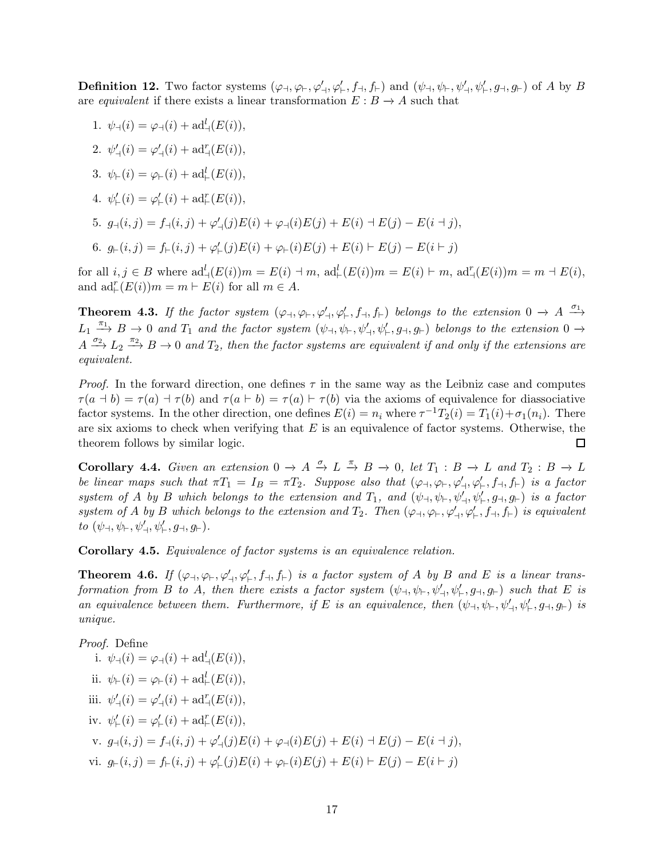**Definition 12.** Two factor systems  $(\varphi_{\dashv}, \varphi_{\vdash}, \varphi'_{\dashv}, \varphi'_{\vdash}, f_{\dashv}, f_{\vdash})$  and  $(\psi_{\dashv}, \psi_{\vdash}, \psi'_{\vdash}, \psi'_{\vdash}, g_{\dashv}, g_{\vdash})$  of A by B are *equivalent* if there exists a linear transformation  $E : B \to A$  such that

- 1.  $\psi_{\dashv}(i) = \varphi_{\dashv}(i) + \mathrm{ad}^{l}_{\dashv}(E(i)),$
- 2.  $\psi'_{\dashv}(i) = \varphi'_{\dashv}(i) + \mathrm{ad}^r_{\dashv}(E(i)),$
- 3.  $\psi_{\vdash}(i) = \varphi_{\vdash}(i) + \mathrm{ad}^l_{\vdash}(E(i)),$
- 4.  $\psi_{\vdash}'(i) = \varphi_{\vdash}'(i) + \mathrm{ad}^r_{\vdash}(E(i)),$
- 5.  $g_{\neg}(i,j) = f_{\neg}(i,j) + \varphi'_{\neg}(j)E(i) + \varphi_{\neg}(i)E(j) + E(i) \dashv E(j) E(i \dashv j),$

6. 
$$
g_{\vdash}(i,j) = f_{\vdash}(i,j) + \varphi_{\vdash}'(j)E(i) + \varphi_{\vdash}(i)E(j) + E(i) \vdash E(j) - E(i \vdash j)
$$

for all  $i, j \in B$  where  $ad^l_{\exists}(E(i))m = E(i) \dashv m$ ,  $ad^l_{\exists}(E(i))m = E(i) \vdash m$ ,  $ad^r_{\exists}(E(i))m = m \dashv E(i)$ , and  $\mathrm{ad}_{\vdash}^r(E(i))m = m \vdash E(i)$  for all  $m \in A$ .

**Theorem 4.3.** If the factor system  $(\varphi_{\dashv}, \varphi_{\vdash}, \varphi'_{\vdash}, f_{\dashv}, f_{\vdash})$  belongs to the extension  $0 \to A \stackrel{\sigma_1}{\longrightarrow}$  $L_1 \stackrel{\pi_1}{\longrightarrow} B \to 0$  and  $T_1$  and the factor system  $(\psi_{\dashv}, \psi_{\vdash}, \psi'_{\dashv}, \psi'_{\vdash}, g_{\dashv}, g_{\vdash})$  belongs to the extension  $0 \to$  $A \stackrel{\sigma_2}{\longrightarrow} L_2 \stackrel{\pi_2}{\longrightarrow} B \to 0$  and  $T_2$ , then the factor systems are equivalent if and only if the extensions are *equivalent.*

*Proof.* In the forward direction, one defines  $\tau$  in the same way as the Leibniz case and computes  $\tau(a + b) = \tau(a) + \tau(b)$  and  $\tau(a \vdash b) = \tau(a) \vdash \tau(b)$  via the axioms of equivalence for diassociative factor systems. In the other direction, one defines  $E(i) = n_i$  where  $\tau^{-1}T_2(i) = T_1(i) + \sigma_1(n_i)$ . There are six axioms to check when verifying that  $E$  is an equivalence of factor systems. Otherwise, the theorem follows by similar logic. □

<span id="page-16-0"></span>**Corollary 4.4.** Given an extension  $0 \to A \xrightarrow{\sigma} L \xrightarrow{\pi} B \to 0$ , let  $T_1 : B \to L$  and  $T_2 : B \to L$ *be linear maps such that*  $\pi T_1 = I_B = \pi T_2$ . Suppose also that  $(\varphi_{\dashv}, \varphi_{\vdash}, \varphi'_{\vdash}, f_{\vdash}, f_{\vdash})$  *is a factor*  $system \ of \ A \ by \ B \ which \ belongs \ to \ the \ extension \ and \ T_1, \ and \ (\psi_{\dashv}, \psi_{\vdash}, \psi'_{\vdash}, \psi'_{\vdash}, g_{\dashv}, g_{\vdash}) \ is \ a \ factor$  $system \ of \ A \ by \ B \ which \ belongs \ to \ the \ extension \ and \ T_2. \ Then \ (\varphi_{\dashv}, \varphi_{\vdash}, \varphi'_{\dashv}, \varphi'_{\vdash}, f_{\dashv}, f_{\vdash}) \ is \ equivalent$  $to (\psi_{\dashv}, \psi_{\vdash}', \psi'_{\vdash}, g_{\dashv}, g_{\vdash}).$ 

Corollary 4.5. *Equivalence of factor systems is an equivalence relation.*

<span id="page-16-1"></span>**Theorem 4.6.** If  $(\varphi_{\dashv}, \varphi_{\vdash}, \varphi'_{\vdash}, f_{\dashv}, f_{\vdash})$  *is a factor system of* A *by* B and E *is a linear trans* $for \textit{main from } B \textit{ to } A, \textit{then there exists a factor system } (\psi_{\dashv}, \psi_{\vdash}, \psi'_{\dashv}, \psi'_{\vdash}, g_{\dashv}, g_{\vdash}) \textit{ such that } E \textit{ is }$ *an equivalence between them. Furthermore, if* E *is an equivalence, then*  $(\psi_{\dashv}, \psi_{\vdash}, \psi'_{\dashv}, \psi'_{\vdash}, g_{\dashv}, g_{\vdash})$  *is unique.*

*Proof.* Define i.  $\psi_{\mathcal{A}}(i) = \varphi_{\mathcal{A}}(i) + \mathrm{ad}^{l}_{\mathcal{A}}(E(i)),$ ii.  $\psi_{\vdash}(i) = \varphi_{\vdash}(i) + \mathrm{ad}^l_{\vdash}(E(i)),$ iii.  $\psi'_{\dashv}(i) = \varphi'_{\dashv}(i) + \mathrm{ad}^r_{\dashv}(E(i)),$ iv.  $\psi'_{\vdash}(i) = \varphi'_{\vdash}(i) + \mathrm{ad}^r_{\vdash}(E(i)),$ v.  $g_{\dashv}(i,j) = f_{\dashv}(i,j) + \varphi'_{\dashv}(j)E(i) + \varphi_{\dashv}(i)E(j) + E(i) \dashv E(j) - E(i \dashv j),$ vi.  $g_{\vdash}(i,j) = f_{\vdash}(i,j) + \varphi'_{\vdash}(j)E(i) + \varphi_{\vdash}(i)E(j) + E(i) \vdash E(j) - E(i \vdash j)$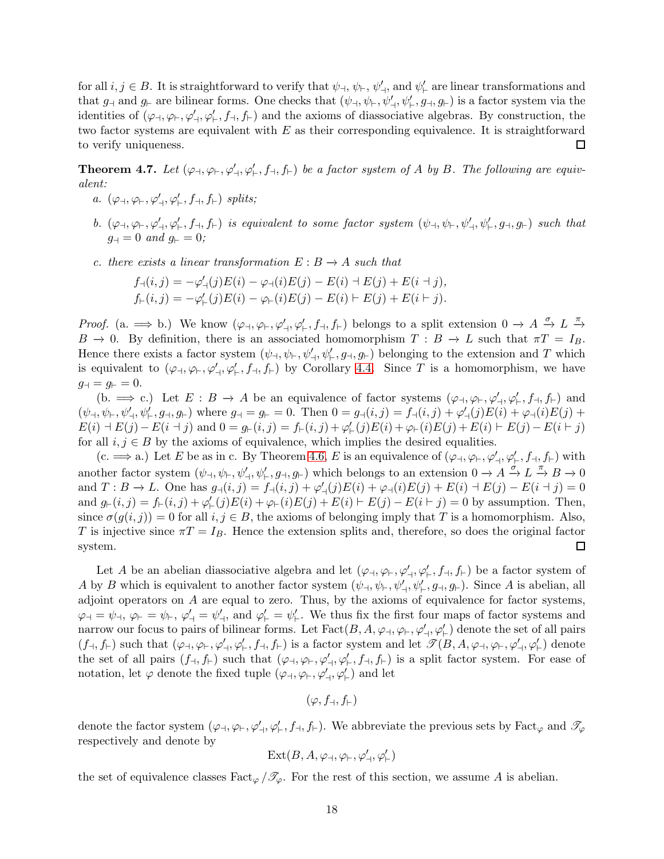for all  $i, j \in B$ . It is straightforward to verify that  $\psi_{\perp}, \psi_{\perp}, \psi'_{\perp}$ , and  $\psi'_{\perp}$  are linear transformations and that  $g_{\dashv}$  and  $g_{\vdash}$  are bilinear forms. One checks that  $(\psi_{\dashv}, \psi_{\vdash}, \psi'_{\vdash}, \psi'_{\vdash}, g_{\dashv}, g_{\vdash})$  is a factor system via the identities of  $(\varphi_{\neg}, \varphi_{\vdash}, \varphi'_{\vdash}, f_{\dashv}, f_{\vdash})$  and the axioms of diassociative algebras. By construction, the two factor systems are equivalent with  $E$  as their corresponding equivalence. It is straightforward to verify uniqueness.  $\Box$ 

<span id="page-17-0"></span>**Theorem 4.7.** Let  $(\varphi_{\neg}, \varphi_{\vdash}, \varphi'_{\vdash}, f_{\neg}, f_{\vdash})$  be a factor system of A by B. The following are equiv*alent:*

- *a.*  $(\varphi \dashv, \varphi \vdash, \varphi' \dashv, \varphi' \vdash, f \dashv, f \vdash)$  *splits*;
- $b.$   $(\varphi_{\dashv}, \varphi_{\vdash}, \varphi'_{\vdash}, f_{\vdash}, f_{\vdash})$  *is equivalent to some factor system*  $(\psi_{\dashv}, \psi_{\vdash}, \psi'_{\vdash}, \psi'_{\vdash}, g_{\dashv}, g_{\vdash})$  *such that*  $g_{\dashv} = 0$  *and*  $g_{\vdash} = 0$ *;*
- *c. there exists a linear transformation*  $E: B \to A$  *such that*

$$
f_{\dashv}(i,j) = -\varphi'_{\dashv}(j)E(i) - \varphi_{\dashv}(i)E(j) - E(i) + E(j) + E(i + j),
$$
  
\n
$$
f_{\vdash}(i,j) = -\varphi'_{\vdash}(j)E(i) - \varphi_{\vdash}(i)E(j) - E(i) + E(j) + E(i + j).
$$

*Proof.* (a.  $\implies$  b.) We know  $(\varphi_{\dashv}, \varphi_{\vdash}, \varphi'_{\vdash}, f_{\dashv}, f_{\vdash})$  belongs to a split extension  $0 \to A \xrightarrow{\sigma} L \xrightarrow{\pi}$  $B \to 0$ . By definition, there is an associated homomorphism  $T : B \to L$  such that  $\pi T = I_B$ . Hence there exists a factor system  $(\psi_{\dashv}, \psi_{\vdash}, \psi'_{\dashv}, \psi'_{\vdash}, g_{\dashv}, g_{\vdash})$  belonging to the extension and T which is equivalent to  $(\varphi_{\neg}, \varphi_{\vdash}, \varphi'_{\vdash}, f_{\vdash}, f_{\vdash})$  by Corollary [4.4.](#page-16-0) Since T is a homomorphism, we have  $g_{\dashv} = g_{\vdash} = 0.$ 

(b.  $\implies$  c.) Let  $E : B \to A$  be an equivalence of factor systems  $(\varphi_{\dashv}, \varphi_{\vdash}, \varphi'_{\dashv}, \varphi'_{\vdash}, f_{\vdash})$  and  $(\psi_{\dashv}, \psi_{\vdash}, \psi'_{\vdash}, g_{\dashv}, g_{\vdash})$  where  $g_{\dashv} = g_{\vdash} = 0$ . Then  $0 = g_{\dashv}(i, j) = f_{\dashv}(i, j) + \varphi'_{\dashv}(j)E(i) + \varphi_{\dashv}(i)E(j) +$  $E(i) \dashv E(j) - E(i \dashv j)$  and  $0 = g_{\vdash}(i, j) = f_{\vdash}(i, j) + \varphi'_{\vdash}(j)E(i) + \varphi_{\vdash}(i)E(j) + E(i) \vdash E(j) - E(i \vdash j)$ for all  $i, j \in B$  by the axioms of equivalence, which implies the desired equalities.

(c.  $\implies$  a.) Let E be as in c. By Theorem [4.6,](#page-16-1) E is an equivalence of  $(\varphi \dashv, \varphi \vdash, \varphi' \dashv, \varphi' \vdash, f \vdash, f \vdash)$  with another factor system  $(\psi_{\dashv}, \psi_{\vdash}, \psi'_{\vdash}, g_{\dashv}, g_{\vdash})$  which belongs to an extension  $0 \to A \xrightarrow{\sigma} L \xrightarrow{\pi} B \to 0$ and  $T: B \to L$ . One has  $g_{\neg}(i, j) = f_{\neg}(i, j) + \varphi'_{\neg}(j)E(i) + \varphi_{\neg}(i)E(j) + E(i) + E(j) - E(i + j) = 0$ and  $g_{\vdash}(i,j) = f_{\vdash}(i,j) + \varphi'_{\vdash}(j)E(i) + \varphi_{\vdash}(i)E(j) + E(i) \vdash E(j) - E(i \vdash j) = 0$  by assumption. Then, since  $\sigma(g(i, j)) = 0$  for all  $i, j \in B$ , the axioms of belonging imply that T is a homomorphism. Also, T is injective since  $\pi T = I_B$ . Hence the extension splits and, therefore, so does the original factor system.  $\Box$ 

Let A be an abelian diassociative algebra and let  $(\varphi_{\dashv}, \varphi_{\vdash}, \varphi'_{\dashv}, \varphi'_{\vdash}, f_{\vdash})$  be a factor system of A by B which is equivalent to another factor system  $(\psi_{\dashv}, \psi_{\vdash}, \psi'_{\vdash}, g_{\dashv}, g_{\vdash})$ . Since A is abelian, all adjoint operators on  $A$  are equal to zero. Thus, by the axioms of equivalence for factor systems,  $\varphi_{\dashv} = \psi_{\dashv}, \varphi'_{\dashv} = \psi'_{\dashv}, \text{ and } \varphi'_{\vdash} = \psi'_{\vdash}.$  We thus fix the first four maps of factor systems and narrow our focus to pairs of bilinear forms. Let  $\text{Fact}(B, A, \varphi_{\dashv}, \varphi_{\dashv}, \varphi'_{\dashv}, \varphi'_{\dashv})$  denote the set of all pairs  $(f_{\dashv}, f_{\vdash})$  such that  $(\varphi_{\dashv}, \varphi_{\vdash}, \varphi'_{\vdash}, f_{\dashv}, f_{\vdash})$  is a factor system and let  $\mathscr{T}(B, A, \varphi_{\dashv}, \varphi_{\vdash}, \varphi'_{\vdash}, \varphi'_{\vdash})$  denote the set of all pairs  $(f_\dashv, f_\vdash)$  such that  $(\varphi_\dashv, \varphi_\vdash, \varphi_\vdash', f_\dashv, f_\vdash)$  is a split factor system. For ease of notation, let  $\varphi$  denote the fixed tuple  $(\varphi_{\dashv}, \varphi_{\vdash}, \varphi'_{\dashv}, \varphi'_{\vdash})$  and let

$$
(\varphi,f_\dashv,f_\vdash)
$$

denote the factor system  $(\varphi \dashv, \varphi \vdash, \varphi' \dashv, \varphi' \vdash, f \vdash, f \vdash)$ . We abbreviate the previous sets by Fact<sub> $\varphi$ </sub> and  $\mathscr{T}_{\varphi}$ respectively and denote by

$$
\operatorname{Ext}(B, A, \varphi_{\dashv}, \varphi_{\vdash}, \varphi'_{\dashv}, \varphi'_{\vdash})
$$

the set of equivalence classes  $\text{Fact}_{\varphi}/\mathscr{T}_{\varphi}$ . For the rest of this section, we assume A is abelian.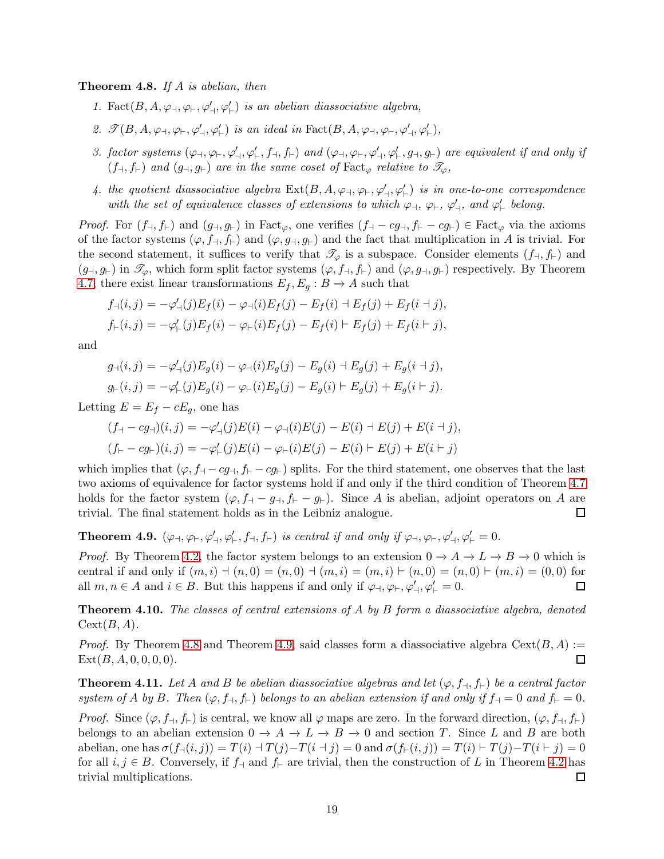<span id="page-18-0"></span>Theorem 4.8. *If* A *is abelian, then*

- 1. Fact $(B, A, \varphi_{\dashv}, \varphi_{\dashv}', \varphi_{\vdash}')$  *is an abelian diassociative algebra,*
- 2.  $\mathscr{T}(B, A, \varphi_{\dashv}, \varphi_{\vdash}, \varphi'_{\vdash})$  *is an ideal in*  $Fact(B, A, \varphi_{\dashv}, \varphi_{\vdash}, \varphi'_{\vdash}, \varphi'_{\vdash})$ ,
- *3. factor systems*  $(\varphi_{\dashv}, \varphi_{\vdash}, \varphi_{\vdash}^{\prime}, f_{\dashv}, f_{\vdash})$  *and*  $(\varphi_{\dashv}, \varphi_{\vdash}, \varphi_{\vdash}^{\prime}, \varphi_{\vdash}^{\prime}, g_{\vdash})$  *are equivalent if and only if*  $(f_{\neg}, f_{\vdash})$  *and*  $(g_{\neg}, g_{\vdash})$  *are in the same coset of* Fact<sub> $\varphi$ </sub> *relative to*  $\mathscr{T}_{\varphi}$ *,*
- *4. the quotient diassociative algebra*  $\text{Ext}(B, A, \varphi_{\perp}, \varphi_{\vdash}, \varphi'_{\vdash}, \varphi'_{\vdash})$  *is in one-to-one correspondence with the set of equivalence classes of extensions to which*  $\varphi$ <sup>-1</sup>,  $\varphi$ <sup>-1</sup>,  $\varphi'$ <sub>-1</sub>, and  $\varphi'$ <sub>1</sub> belong.

*Proof.* For  $(f_\dashv, f_\vdash)$  and  $(g_\dashv, g_\vdash)$  in Fact<sub> $\varphi$ </sub>, one verifies  $(f_\dashv -cg_\dashv, f_\vdash - cg_\vdash) \in \text{Fact}_{\varphi}$  via the axioms of the factor systems  $(\varphi, f_{\dashv}, f_{\vdash})$  and  $(\varphi, g_{\dashv}, g_{\vdash})$  and the fact that multiplication in A is trivial. For the second statement, it suffices to verify that  $\mathcal{T}_{\varphi}$  is a subspace. Consider elements  $(f_{\dashv}, f_{\vdash})$  and  $(g_{\dashv}, g_{\vdash})$  in  $\mathscr{T}_{\varphi}$ , which form split factor systems  $(\varphi, f_{\dashv}, f_{\vdash})$  and  $(\varphi, g_{\dashv}, g_{\vdash})$  respectively. By Theorem [4.7,](#page-17-0) there exist linear transformations  $E_f, E_g : B \to A$  such that

$$
f_{\neg}(i,j) = -\varphi'_{\neg}(j)E_f(i) - \varphi_{\neg}(i)E_f(j) - E_f(i) + E_f(j) + E_f(i + j),
$$
  
\n
$$
f_{\neg}(i,j) = -\varphi'_{\neg}(j)E_f(i) - \varphi_{\neg}(i)E_f(j) - E_f(i) + E_f(j) + E_f(i + j),
$$

and

$$
g_{\neg}(i,j) = -\varphi'_{\neg}(j)E_g(i) - \varphi_{\neg}(i)E_g(j) - E_g(i) + E_g(j) + E_g(i + j),
$$
  

$$
g_{\vdash}(i,j) = -\varphi'_{\vdash}(j)E_g(i) - \varphi_{\vdash}(i)E_g(j) - E_g(i) + E_g(j) + E_g(i + j).
$$

Letting  $E = E_f - cE_g$ , one has

$$
(f_{+} - cg_{+})(i, j) = -\varphi'_{+}(j)E(i) - \varphi_{+}(i)E(j) - E(i) + E(j) + E(i + j),
$$
  

$$
(f_{+} - cg_{+})(i, j) = -\varphi'_{+}(j)E(i) - \varphi_{+}(i)E(j) - E(i) + E(j) + E(i + j)
$$

which implies that  $(\varphi, f_{\dashv} - cg_{\dashv}, f_{\vdash} - cg_{\vdash})$  splits. For the third statement, one observes that the last two axioms of equivalence for factor systems hold if and only if the third condition of Theorem [4.7](#page-17-0) holds for the factor system  $(\varphi, f_{\dashv} - g_{\dashv}, f_{\vdash} - g_{\vdash})$ . Since A is abelian, adjoint operators on A are trivial. The final statement holds as in the Leibniz analogue.  $\Box$ 

<span id="page-18-1"></span>**Theorem 4.9.**  $(\varphi_{\dashv}, \varphi_{\vdash}, \varphi'_{\dashv}, \varphi'_{\dashv}, f_{\vdash})$  *is central if and only if*  $\varphi_{\dashv}, \varphi_{\vdash}, \varphi'_{\vdash}, \varphi'_{\vdash} = 0$ .

*Proof.* By Theorem [4.2,](#page-15-0) the factor system belongs to an extension  $0 \to A \to L \to B \to 0$  which is central if and only if  $(m, i)$   $\neg (n, 0) = (n, 0)$   $\neg (m, i) = (m, i)$   $\neg (n, 0) = (n, 0)$   $\neg (n, 0) = (n, 0)$  for all  $m, n \in A$  and  $i \in B$ . But this happens if and only if  $\varphi_{\dashv}, \varphi_{\vdash}, \varphi'_{\vdash}, \varphi'_{\vdash} = 0$ . □

Theorem 4.10. *The classes of central extensions of* A *by* B *form a diassociative algebra, denoted*  $Cext(B, A)$ .

*Proof.* By Theorem [4.8](#page-18-0) and Theorem [4.9,](#page-18-1) said classes form a diassociative algebra  $Cext(B, A) :=$  $\Box$  $Ext(B, A, 0, 0, 0, 0).$ 

**Theorem 4.11.** Let A and B be abelian diassociative algebras and let  $(\varphi, f_{\dashv}, f_{\vdash})$  be a central factor *system of* A *by* B. Then  $(\varphi, f_{\dashv}, f_{\vdash})$  *belongs to an abelian extension if and only if*  $f_{\dashv} = 0$  *and*  $f_{\vdash} = 0$ *.* 

*Proof.* Since  $(\varphi, f_{\dashv}, f_{\vdash})$  is central, we know all  $\varphi$  maps are zero. In the forward direction,  $(\varphi, f_{\dashv}, f_{\vdash})$ belongs to an abelian extension  $0 \to A \to L \to B \to 0$  and section T. Since L and B are both abelian, one has  $\sigma(f_{\neg}(i,j)) = T(i) \perp T(j) - T(i + j) = 0$  and  $\sigma(f_{\neg}(i,j)) = T(i) \perp T(j) - T(i + j) = 0$ for all  $i, j \in B$ . Conversely, if  $f_{\dashv}$  and  $f_{\vdash}$  are trivial, then the construction of L in Theorem [4.2](#page-15-0) has trivial multiplications. 囗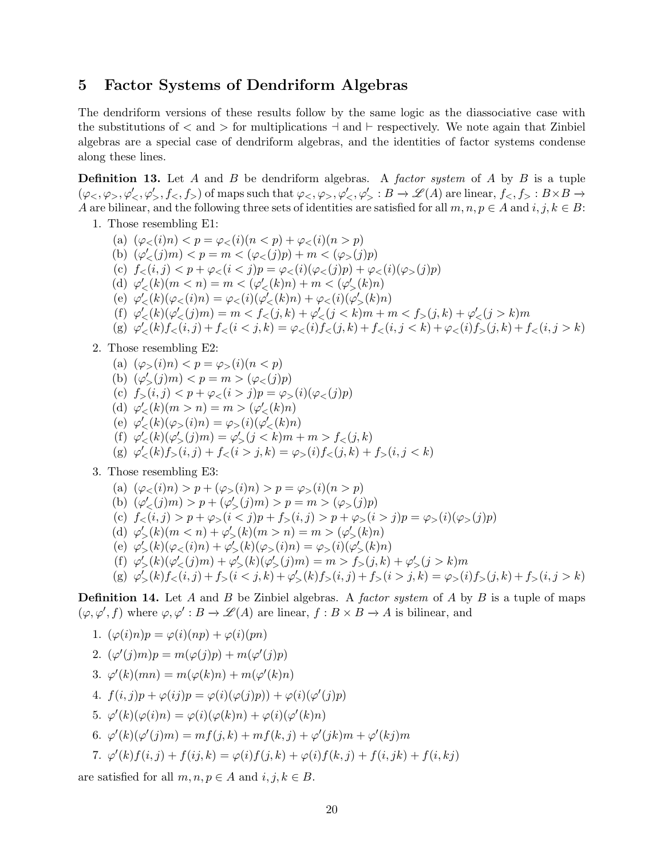### <span id="page-19-0"></span>5 Factor Systems of Dendriform Algebras

The dendriform versions of these results follow by the same logic as the diassociative case with the substitutions of  $\langle$  and  $\rangle$  for multiplications  $\neg$  and  $\vdash$  respectively. We note again that Zinbiel algebras are a special case of dendriform algebras, and the identities of factor systems condense along these lines.

Definition 13. Let A and B be dendriform algebras. A *factor system* of A by B is a tuple  $(\varphi_{\leq},\varphi_{>},\varphi'_{\leq},\varphi'_{>},f_{\leq},f_{>})$  of maps such that  $\varphi_{\leq},\varphi_{>},\varphi'_{\leq},\varphi'_{>}:B\to\mathscr{L}(A)$  are linear,  $f_{\leq},f_{>}:B\times B\to\mathscr{L}(A)$ A are bilinear, and the following three sets of identities are satisfied for all  $m, n, p \in A$  and  $i, j, k \in B$ :

- 1. Those resembling E1:
	- (a)  $(\varphi_{<} (i)n) < p = \varphi_{<} (i)(n < p) + \varphi_{<} (i)(n > p)$ (b)  $(\varphi'_<(j)m) < p = m < (\varphi_<(j)p) + m < (\varphi_>(j)p)$ (c)  $f_<(i, j) < p + \varphi_<(i < j)p = \varphi_<(i)(\varphi_>(j)p) + \varphi_<(i)(\varphi_>(j)p)$ (d)  $\varphi'_{<}(k)(m < n) = m < (\varphi'_{<}(k)n) + m < (\varphi'_{>}(k)n)$ (e)  $\varphi'_{<}(k)(\varphi_{<}(i)n) = \varphi_{<}(i)(\varphi'_{<}(k)n) + \varphi_{<}(i)(\varphi'_{>}(k)n)$ (f)  $\varphi'_{<} (k)(\varphi'_{<} (j)m) = m < f_{<} (j,k) + \varphi'_{<} (j < k)m + m < f_{>} (j,k) + \varphi'_{<} (j > k)m$ (g)  $\varphi'_{<} (k) f_{<} (i,j) + f_{<} (i < j,k) = \varphi_{<} (i) f_{<} (j,k) + f_{<} (i,j < k) + \varphi_{<} (i) f_{>} (j,k) + f_{<} (i,j > k)$

#### 2. Those resembling E2:

(a)  $(\varphi_{>}(i)n) < p = \varphi_{>}(i)(n < p)$ (b)  $(\varphi'_>(j)m) < p = m > (\varphi_<(j)p)$ (c)  $f_>(i, j) < p + \varphi_<(i > j)p = \varphi_>(i)(\varphi_<(j)p)$ (d)  $\varphi'_{<}(k)(m > n) = m > (\varphi'_{<}(k)n)$ (e)  $\varphi'_{<} (k)(\varphi_{>} (i)n) = \varphi_{>} (i)(\varphi'_{<} (k)n)$ (f)  $\varphi'_{<}(k)(\varphi'_{>}(j)m) = \varphi'_{>}(j < k)m + m > f_{<}(j, k)$ (g)  $\varphi'_{<} (k) f_{>} (i, j) + f_{<} (i > j, k) = \varphi_{>} (i) f_{<} (j, k) + f_{>} (i, j < k)$ 

3. Those resembling E3:

(a) 
$$
(\varphi_{<};(i)n) > p + (\varphi_{>};(i)n) > p = \varphi_{>}(i)(n > p)
$$
  
\n(b)  $(\varphi'_{<};(j)m) > p + (\varphi'_{>};(j)m) > p = m > (\varphi_{>};(j)p)$   
\n(c)  $f_{<(i,j)} > p + \varphi_{>(i < j)p + f_{>(i,j)} > p + \varphi_{>(i > j)p = \varphi_{>(i)(\varphi_{>(j)p)}$   
\n(d)  $\varphi'_{>(k)(m < n) + \varphi'_{>(k)(m > n) = m > (\varphi'_{>(k)n)}$   
\n(e)  $\varphi'_{>(k)(\varphi_{<(i)n) + \varphi'_{>(k)(\varphi_{>(i)m) = \varphi_{>(i)(\varphi'_{>(k)n)}$   
\n(f)  $\varphi'_{>(k)(\varphi'_{<(j)m) + \varphi'_{>(k)(\varphi'_{>(j)m) = m > f_{>(j,k) + \varphi'_{>(j > k)m}}{(g) \varphi'_{>(k)f_{<(i,j) + f_{>(i < j,k) + \varphi'_{>(k)f_{>(i,j) + f_{>(i > j,k) = \varphi_{>(i)f_{>(j,k) + f_{>(i,j > k)}}$ 

Definition 14. Let A and B be Zinbiel algebras. A *factor system* of A by B is a tuple of maps  $(\varphi, \varphi', f)$  where  $\varphi, \varphi' : B \to \mathscr{L}(A)$  are linear,  $f : B \times B \to A$  is bilinear, and

1. 
$$
(\varphi(i)n)p = \varphi(i)(np) + \varphi(i)(pn)
$$
  
2.  $(\varphi'(j)m)p = m(\varphi(j)p) + m(\varphi'(j)p)$ 

- 3.  $\varphi'(k)(mn) = m(\varphi(k)n) + m(\varphi'(k)n)$
- 4.  $f(i, j)p + \varphi(ij)p = \varphi(i)(\varphi(j)p) + \varphi(i)(\varphi'(j)p)$
- 5.  $\varphi'(k)(\varphi(i)n) = \varphi(i)(\varphi(k)n) + \varphi(i)(\varphi'(k)n)$
- 6.  $\varphi'(k)(\varphi'(j)m) = mf(j,k) + mf(k,j) + \varphi'(jk)m + \varphi'(kj)m$
- 7.  $\varphi'(k) f(i, j) + f(ij, k) = \varphi(i) f(j, k) + \varphi(i) f(k, j) + f(i, jk) + f(i, kj)$

are satisfied for all  $m, n, p \in A$  and  $i, j, k \in B$ .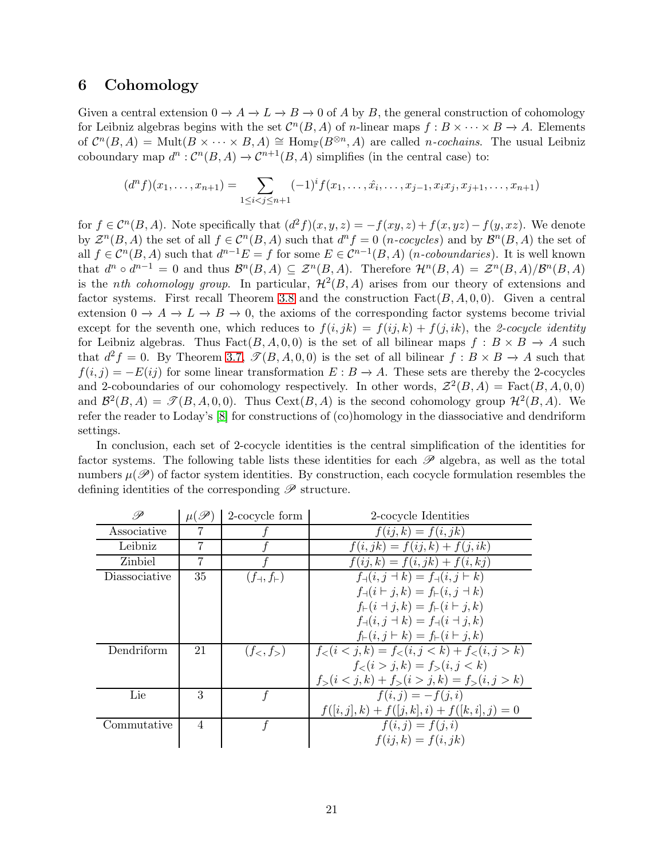### <span id="page-20-0"></span>6 Cohomology

Given a central extension  $0 \to A \to L \to B \to 0$  of A by B, the general construction of cohomology for Leibniz algebras begins with the set  $\mathcal{C}^n(B, A)$  of *n*-linear maps  $f : B \times \cdots \times B \to A$ . Elements of  $\mathcal{C}^n(B,A) = \text{Mult}(B \times \cdots \times B,A) \cong \text{Hom}_{\mathbb{F}}(B^{\otimes n},A)$  are called *n*-cochains. The usual Leibniz coboundary map  $d^n : \mathcal{C}^n(B, A) \to \mathcal{C}^{n+1}(B, A)$  simplifies (in the central case) to:

$$
(dn f)(x1,...,xn+1) = \sum_{1 \leq i < j \leq n+1} (-1)^{i} f(x_1,...,\hat{x}_i,...,x_{j-1},x_i x_j,x_{j+1},...,x_{n+1})
$$

for  $f \in \mathcal{C}^n(B, A)$ . Note specifically that  $(d^2 f)(x, y, z) = -f(xy, z) + f(x, yz) - f(y, xz)$ . We denote by  $\mathcal{Z}^n(B, A)$  the set of all  $f \in \mathcal{C}^n(B, A)$  such that  $d^n f = 0$  (*n-cocycles*) and by  $\mathcal{B}^n(B, A)$  the set of all  $f \in \mathcal{C}^n(B, A)$  such that  $d^{n-1}E = f$  for some  $E \in \mathcal{C}^{n-1}(B, A)$  (*n*-coboundaries). It is well known that  $d^n \circ d^{n-1} = 0$  and thus  $\mathcal{B}^n(B, A) \subseteq \mathcal{Z}^n(B, A)$ . Therefore  $\mathcal{H}^n(B, A) = \mathcal{Z}^n(B, A)/\mathcal{B}^n(B, A)$ is the *nth cohomology group*. In particular,  $\mathcal{H}^2(B, A)$  arises from our theory of extensions and factor systems. First recall Theorem [3.8](#page-12-1) and the construction  $Fact(B, A, 0, 0)$ . Given a central extension  $0 \to A \to L \to B \to 0$ , the axioms of the corresponding factor systems become trivial except for the seventh one, which reduces to  $f(i, jk) = f(ij, k) + f(j, ik)$ , the 2-cocycle identity for Leibniz algebras. Thus Fact( $B, A, 0, 0$ ) is the set of all bilinear maps  $f : B \times B \to A$  such that  $d^2f = 0$ . By Theorem [3.7,](#page-11-1)  $\mathcal{P}(B, A, 0, 0)$  is the set of all bilinear  $f : B \times B \to A$  such that  $f(i, j) = -E(ij)$  for some linear transformation  $E : B \to A$ . These sets are thereby the 2-cocycles and 2-coboundaries of our cohomology respectively. In other words,  $\mathcal{Z}^2(B,A) = \text{Fact}(B,A,0,0)$ and  $\mathcal{B}^2(B,A) = \mathcal{F}(B,A,0,0)$ . Thus Cext $(B,A)$  is the second cohomology group  $\mathcal{H}^2(B,A)$ . We refer the reader to Loday's [8] for constructions of (co)homology in the diassociative and dendriform settings.

In conclusion, each set of 2-cocycle identities is the central simplification of the identities for factor systems. The following table lists these identities for each  $\mathscr P$  algebra, as well as the total numbers  $\mu(\mathscr{P})$  of factor system identities. By construction, each cocycle formulation resembles the defining identities of the corresponding  $\mathscr P$  structure.

| P             | $\mu(\mathscr{P})$ | 2-cocycle form             | 2-cocycle Identities                                    |
|---------------|--------------------|----------------------------|---------------------------------------------------------|
| Associative   |                    |                            | $f(ij,k) = f(i, jk)$                                    |
| Leibniz       |                    |                            | $f(i, jk) = f(ij, k) + f(j, ik)$                        |
| Zinbiel       | 7                  |                            | $f(ij,k) = f(i, jk) + f(i, kj)$                         |
| Diassociative | 35                 | $(f_{\dashv}, f_{\vdash})$ | $f_{\dashv}(i, j \dashv k) = f_{\dashv}(i, j \vdash k)$ |
|               |                    |                            | $f_{\dashv}(i \vdash j,k) = f_{\vdash}(i,j \dashv k)$   |
|               |                    |                            | $f_{\vdash}(i \dashv j, k) = f_{\vdash}(i \vdash j, k)$ |
|               |                    |                            | $f_{\dashv}(i, j \dashv k) = f_{\dashv}(i \dashv j, k)$ |
|               |                    |                            | $f_{\vdash}(i, j \vdash k) = f_{\vdash}(i \vdash j, k)$ |
| Dendriform    | 21                 | $(f_<, f_>)$               | $f_<(i < j, k) = f_<(i, j < k) + f_>(i, j > k)$         |
|               |                    |                            | $f_<(i>j,k)=f_>(i,j < k)$                               |
|               |                    |                            | $f_>(i < j, k) + f_>(i > j, k) = f_>(i, j > k)$         |
| Lie           | 3                  |                            | $f(i, j) = -f(j, i)$                                    |
|               |                    |                            | $f([i,j],k) + f([j,k],i) + f([k,i],j) = 0$              |
| Commutative   | $\overline{4}$     |                            | $f(i, j) = f(j, i)$                                     |
|               |                    |                            | $f(ij,k) = f(i, jk)$                                    |